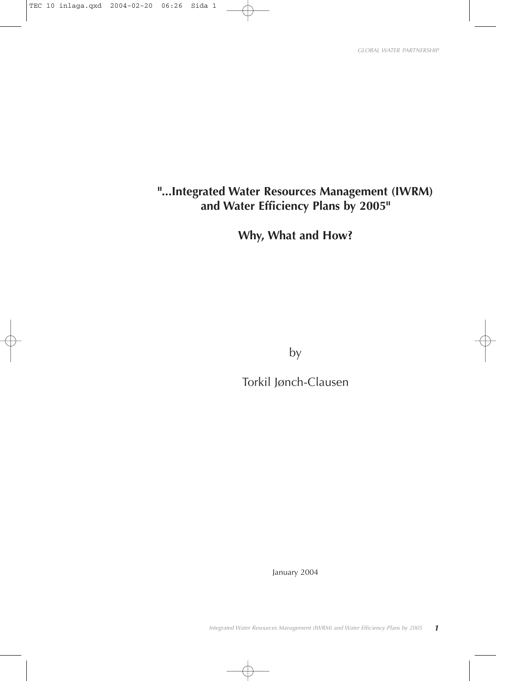# **"...Integrated Water Resources Management (IWRM) and Water Efficiency Plans by 2005"**

**Why, What and How?**

by

Torkil Jønch-Clausen

January 2004

Integrated Water Resources Management (IWRM) and Water Efficiency Plans by 2005 **1**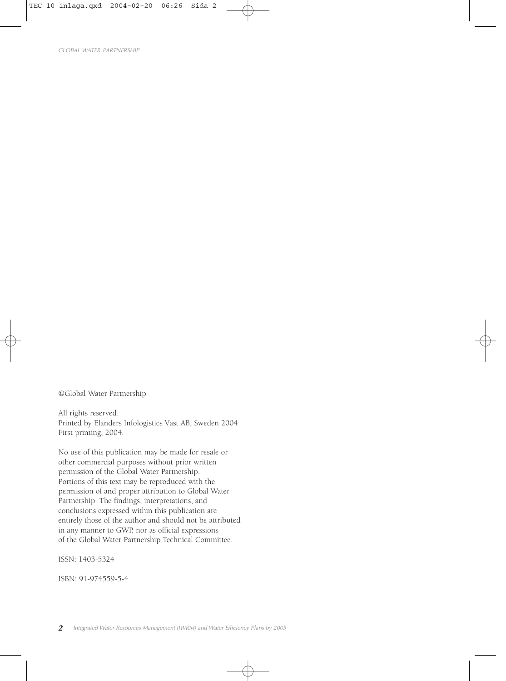©Global Water Partnership

All rights reserved. Printed by Elanders Infologistics Väst AB, Sweden 2004 First printing, 2004.

No use of this publication may be made for resale or other commercial purposes without prior written permission of the Global Water Partnership. Portions of this text may be reproduced with the permission of and proper attribution to Global Water Partnership. The findings, interpretations, and conclusions expressed within this publication are entirely those of the author and should not be attributed in any manner to GWP, nor as official expressions of the Global Water Partnership Technical Committee.

ISSN: 1403-5324

ISBN: 91-974559-5-4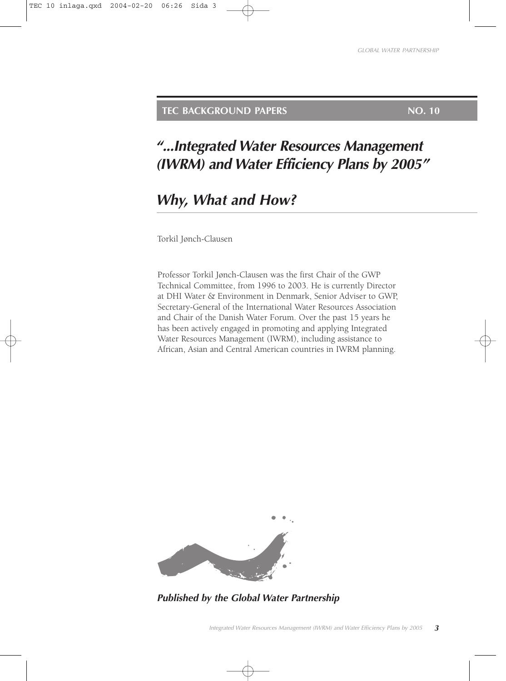**TEC BACKGROUND PAPERS NO. 10** 

# **"...Integrated Water Resources Management (IWRM) and Water Efficiency Plans by 2005"**

# **Why, What and How?**

Torkil Jønch-Clausen

Professor Torkil Jønch-Clausen was the first Chair of the GWP Technical Committee, from 1996 to 2003. He is currently Director at DHI Water & Environment in Denmark, Senior Adviser to GWP, Secretary-General of the International Water Resources Association and Chair of the Danish Water Forum. Over the past 15 years he has been actively engaged in promoting and applying Integrated Water Resources Management (IWRM), including assistance to African, Asian and Central American countries in IWRM planning.



**Published by the Global Water Partnership**

Integrated Water Resources Management (IWRM) and Water Efficiency Plans by 2005 **3**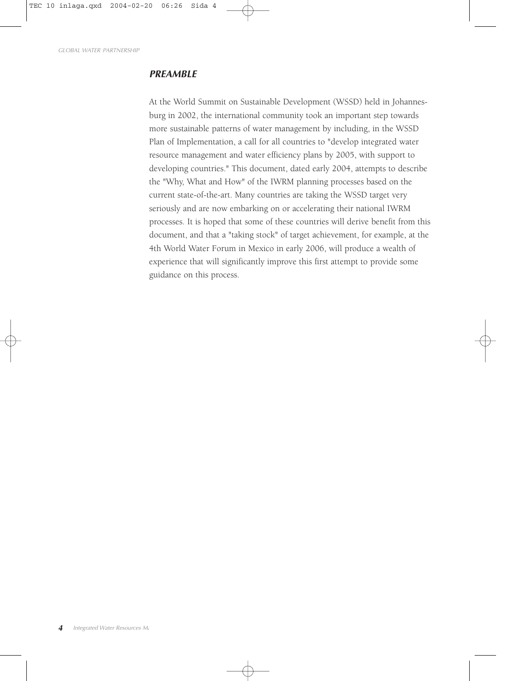# **PREAMBLE**

At the World Summit on Sustainable Development (WSSD) held in Johannesburg in 2002, the international community took an important step towards more sustainable patterns of water management by including, in the WSSD Plan of Implementation, a call for all countries to "develop integrated water resource management and water efficiency plans by 2005, with support to developing countries." This document, dated early 2004, attempts to describe the "Why, What and How" of the IWRM planning processes based on the current state-of-the-art. Many countries are taking the WSSD target very seriously and are now embarking on or accelerating their national IWRM processes. It is hoped that some of these countries will derive benefit from this document, and that a "taking stock" of target achievement, for example, at the 4th World Water Forum in Mexico in early 2006, will produce a wealth of experience that will significantly improve this first attempt to provide some guidance on this process.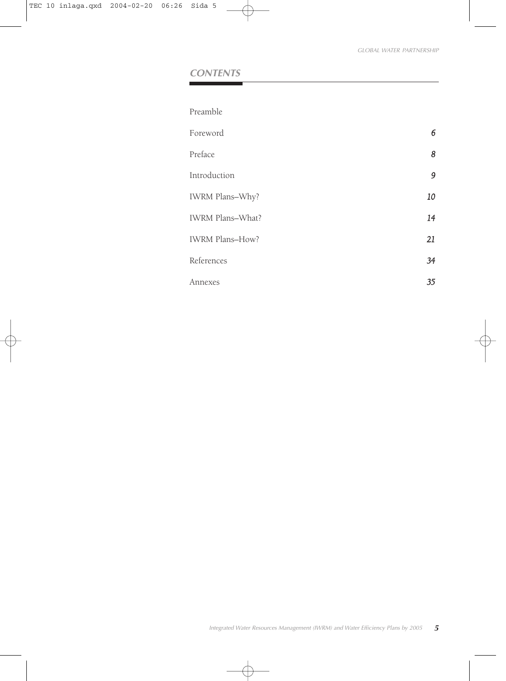# **CONTENTS**

| Preamble         |    |
|------------------|----|
| Foreword         | 6  |
| Preface          | 8  |
| Introduction     | 9  |
| IWRM Plans-Why?  | 10 |
| IWRM Plans-What? | 14 |
| IWRM Plans-How?  | 21 |
| References       | 34 |
| Annexes          | 35 |

Integrated Water Resources Management (IWRM) and Water Efficiency Plans by 2005 **5**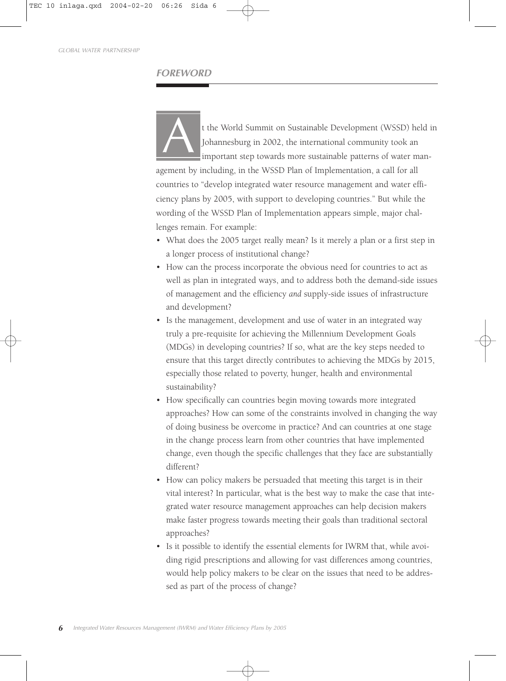# **FOREWORD**



t the World Summit on Sustainable Development (WSSD) held in Johannesburg in 2002, the international community took an important step towards more sustainable patterns of water management by including, in the WSSD Plan of Implementation, a call for all countries to "develop integrated water resource management and water efficiency plans by 2005, with support to developing countries." But while the

wording of the WSSD Plan of Implementation appears simple, major challenges remain. For example:

- What does the 2005 target really mean? Is it merely a plan or a first step in a longer process of institutional change?
- How can the process incorporate the obvious need for countries to act as well as plan in integrated ways, and to address both the demand-side issues of management and the efficiency *and* supply-side issues of infrastructure and development?
- Is the management, development and use of water in an integrated way truly a pre-requisite for achieving the Millennium Development Goals (MDGs) in developing countries? If so, what are the key steps needed to ensure that this target directly contributes to achieving the MDGs by 2015, especially those related to poverty, hunger, health and environmental sustainability?
- How specifically can countries begin moving towards more integrated approaches? How can some of the constraints involved in changing the way of doing business be overcome in practice? And can countries at one stage in the change process learn from other countries that have implemented change, even though the specific challenges that they face are substantially different?
- How can policy makers be persuaded that meeting this target is in their vital interest? In particular, what is the best way to make the case that integrated water resource management approaches can help decision makers make faster progress towards meeting their goals than traditional sectoral approaches?
- Is it possible to identify the essential elements for IWRM that, while avoiding rigid prescriptions and allowing for vast differences among countries, would help policy makers to be clear on the issues that need to be addressed as part of the process of change?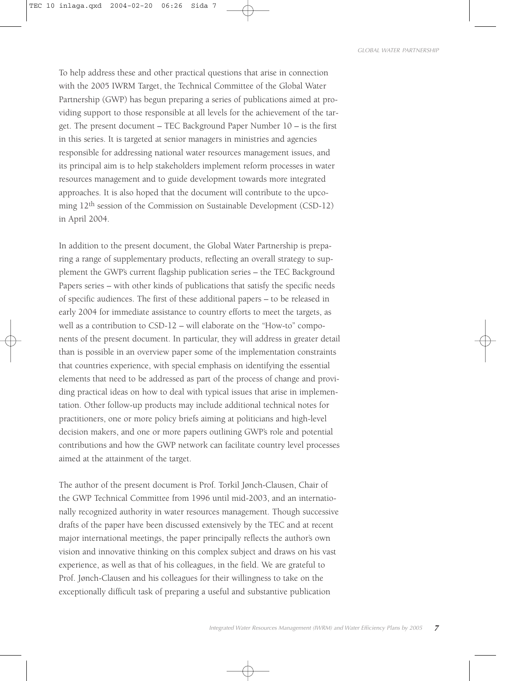To help address these and other practical questions that arise in connection with the 2005 IWRM Target, the Technical Committee of the Global Water Partnership (GWP) has begun preparing a series of publications aimed at providing support to those responsible at all levels for the achievement of the target. The present document – TEC Background Paper Number 10 – is the first in this series. It is targeted at senior managers in ministries and agencies responsible for addressing national water resources management issues, and its principal aim is to help stakeholders implement reform processes in water resources management and to guide development towards more integrated approaches. It is also hoped that the document will contribute to the upcoming 12<sup>th</sup> session of the Commission on Sustainable Development (CSD-12) in April 2004.

In addition to the present document, the Global Water Partnership is preparing a range of supplementary products, reflecting an overall strategy to supplement the GWP's current flagship publication series – the TEC Background Papers series – with other kinds of publications that satisfy the specific needs of specific audiences. The first of these additional papers – to be released in early 2004 for immediate assistance to country efforts to meet the targets, as well as a contribution to CSD-12 – will elaborate on the "How-to" components of the present document. In particular, they will address in greater detail than is possible in an overview paper some of the implementation constraints that countries experience, with special emphasis on identifying the essential elements that need to be addressed as part of the process of change and providing practical ideas on how to deal with typical issues that arise in implementation. Other follow-up products may include additional technical notes for practitioners, one or more policy briefs aiming at politicians and high-level decision makers, and one or more papers outlining GWP's role and potential contributions and how the GWP network can facilitate country level processes aimed at the attainment of the target.

The author of the present document is Prof. Torkil Jønch-Clausen, Chair of the GWP Technical Committee from 1996 until mid-2003, and an internationally recognized authority in water resources management. Though successive drafts of the paper have been discussed extensively by the TEC and at recent major international meetings, the paper principally reflects the author's own vision and innovative thinking on this complex subject and draws on his vast experience, as well as that of his colleagues, in the field. We are grateful to Prof. Jønch-Clausen and his colleagues for their willingness to take on the exceptionally difficult task of preparing a useful and substantive publication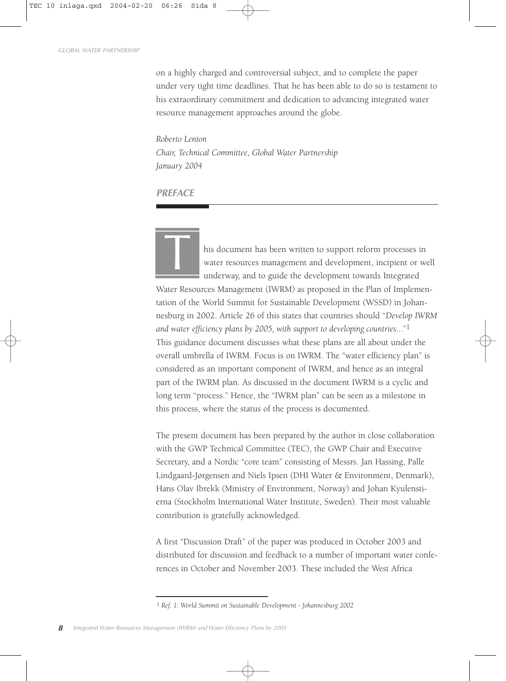on a highly charged and controversial subject, and to complete the paper under very tight time deadlines. That he has been able to do so is testament to his extraordinary commitment and dedication to advancing integrated water resource management approaches around the globe.

*Roberto Lenton Chair, Technical Committee, Global Water Partnership January 2004*

**PREFACE**



his document has been written to support reform processes in water resources management and development, incipient or well underway, and to guide the development towards Integrated

Water Resources Management (IWRM) as proposed in the Plan of Implementation of the World Summit for Sustainable Development (WSSD) in Johannesburg in 2002. Article 26 of this states that countries should "*Develop IWRM and water efficiency plans by 2005, with support to developing countries*..."1 This guidance document discusses what these plans are all about under the overall umbrella of IWRM. Focus is on IWRM. The "water efficiency plan" is considered as an important component of IWRM, and hence as an integral part of the IWRM plan. As discussed in the document IWRM is a cyclic and long term "process." Hence, the "IWRM plan" can be seen as a milestone in this process, where the status of the process is documented.

The present document has been prepared by the author in close collaboration with the GWP Technical Committee (TEC), the GWP Chair and Executive Secretary, and a Nordic "core team" consisting of Messrs. Jan Hassing, Palle Lindgaard-Jørgensen and Niels Ipsen (DHI Water & Environment, Denmark), Hans Olav Ibrekk (Ministry of Environment, Norway) and Johan Kyulenstierna (Stockholm International Water Institute, Sweden). Their most valuable contribution is gratefully acknowledged.

A first "Discussion Draft" of the paper was produced in October 2003 and distributed for discussion and feedback to a number of important water conferences in October and November 2003. These included the West Africa

*<sup>1</sup> Ref. 1: World Summit on Sustainable Development - Johannesburg 2002*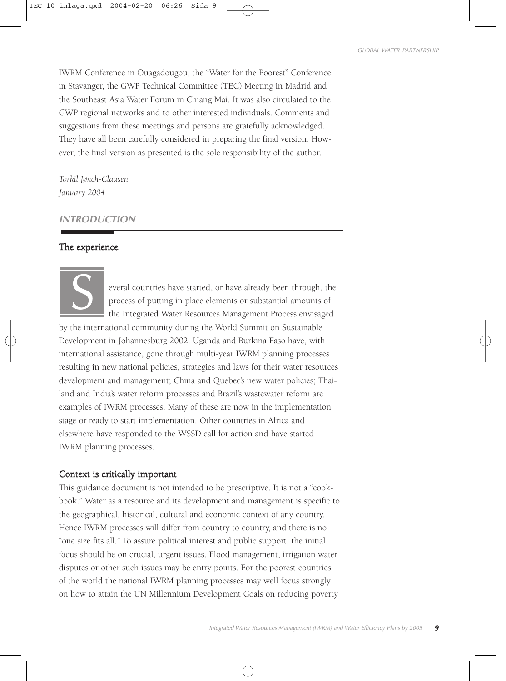IWRM Conference in Ouagadougou, the "Water for the Poorest" Conference in Stavanger, the GWP Technical Committee (TEC) Meeting in Madrid and the Southeast Asia Water Forum in Chiang Mai. It was also circulated to the GWP regional networks and to other interested individuals. Comments and suggestions from these meetings and persons are gratefully acknowledged. They have all been carefully considered in preparing the final version. However, the final version as presented is the sole responsibility of the author.

*Torkil Jønch-Clausen January 2004*

## **INTRODUCTION**

## The experience



everal countries have started, or have already been through, the process of putting in place elements or substantial amounts of the Integrated Water Resources Management Process envisaged

by the international community during the World Summit on Sustainable Development in Johannesburg 2002. Uganda and Burkina Faso have, with international assistance, gone through multi-year IWRM planning processes resulting in new national policies, strategies and laws for their water resources development and management; China and Quebec's new water policies; Thailand and India's water reform processes and Brazil's wastewater reform are examples of IWRM processes. Many of these are now in the implementation stage or ready to start implementation. Other countries in Africa and elsewhere have responded to the WSSD call for action and have started IWRM planning processes.

### Context is critically important

This guidance document is not intended to be prescriptive. It is not a "cookbook." Water as a resource and its development and management is specific to the geographical, historical, cultural and economic context of any country. Hence IWRM processes will differ from country to country, and there is no "one size fits all." To assure political interest and public support, the initial focus should be on crucial, urgent issues. Flood management, irrigation water disputes or other such issues may be entry points. For the poorest countries of the world the national IWRM planning processes may well focus strongly on how to attain the UN Millennium Development Goals on reducing poverty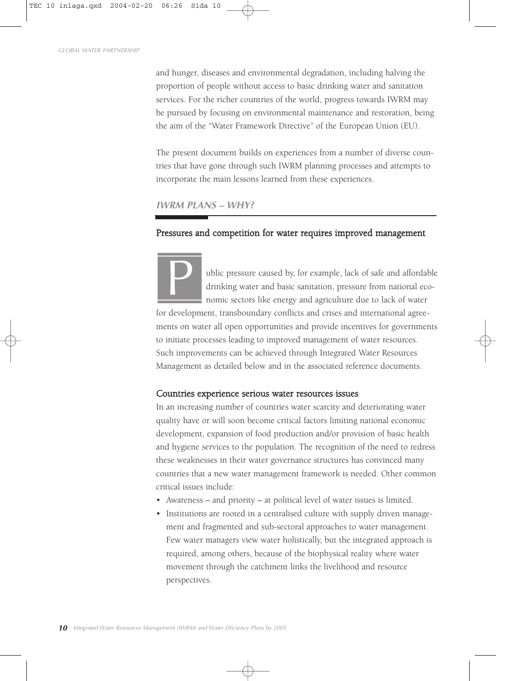and hunger, diseases and environmental degradation, including halving the proportion of people without access to basic drinking water and sanitation services. For the richer countries of the world, progress towards IWRM may be pursued by focusing on environmental maintenance and restoration, being the aim of the "Water Framework Directive" of the European Union (EU).

The present document builds on experiences from a number of diverse countries that have gone through such IWRM planning processes and attempts to incorporate the main lessons learned from these experiences.

**IWRM PLANS – WHY?**

# Pressures and competition for water requires improved management



ublic pressure caused by, for example, lack of safe and affordable drinking water and basic sanitation, pressure from national economic sectors like energy and agriculture due to lack of water

for development, transboundary conflicts and crises and international agreements on water all open opportunities and provide incentives for governments to initiate processes leading to improved management of water resources. Such improvements can be achieved through Integrated Water Resources Management as detailed below and in the associated reference documents.

# Countries experience serious water resources issues

In an increasing number of countries water scarcity and deteriorating water quality have or will soon become critical factors limiting national economic development, expansion of food production and/or provision of basic health and hygiene services to the population. The recognition of the need to redress these weaknesses in their water governance structures has convinced many countries that a new water management framework is needed. Other common critical issues include:

- Awareness and priority at political level of water issues is limited.
- Institutions are rooted in a centralised culture with supply driven management and fragmented and sub-sectoral approaches to water management. Few water managers view water holistically, but the integrated approach is required, among others, because of the biophysical reality where water movement through the catchment links the livelihood and resource perspectives.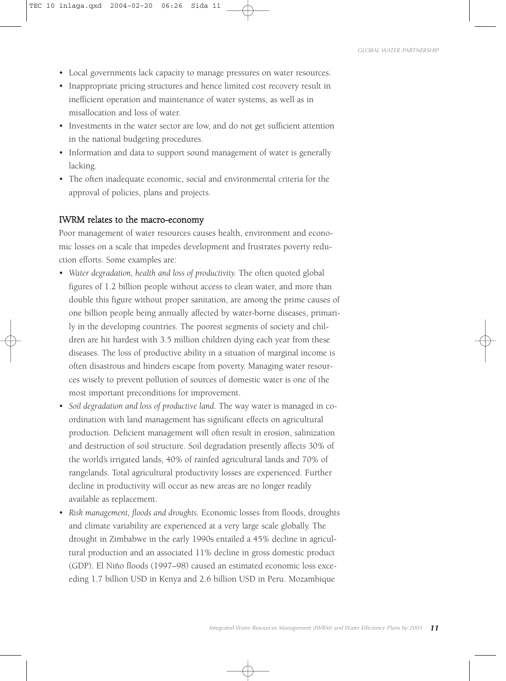- Local governments lack capacity to manage pressures on water resources.
- Inappropriate pricing structures and hence limited cost recovery result in inefficient operation and maintenance of water systems, as well as in misallocation and loss of water.
- Investments in the water sector are low, and do not get sufficient attention in the national budgeting procedures.
- Information and data to support sound management of water is generally lacking.
- The often inadequate economic, social and environmental criteria for the approval of policies, plans and projects.

#### IWRM relates to the macro-economy

Poor management of water resources causes health, environment and economic losses on a scale that impedes development and frustrates poverty reduction efforts. Some examples are:

- *Water degradation, health and loss of productivity.* The often quoted global figures of 1.2 billion people without access to clean water, and more than double this figure without proper sanitation, are among the prime causes of one billion people being annually affected by water-borne diseases, primarily in the developing countries. The poorest segments of society and children are hit hardest with 3.5 million children dying each year from these diseases. The loss of productive ability in a situation of marginal income is often disastrous and hinders escape from poverty. Managing water resources wisely to prevent pollution of sources of domestic water is one of the most important preconditions for improvement.
- *Soil degradation and loss of productive land*. The way water is managed in coordination with land management has significant effects on agricultural production. Deficient management will often result in erosion, salinization and destruction of soil structure. Soil degradation presently affects 30% of the world's irrigated lands, 40% of rainfed agricultural lands and 70% of rangelands. Total agricultural productivity losses are experienced. Further decline in productivity will occur as new areas are no longer readily available as replacement.
- *Risk management, floods and droughts.* Economic losses from floods, droughts and climate variability are experienced at a very large scale globally. The drought in Zimbabwe in the early 1990s entailed a 45% decline in agricultural production and an associated 11% decline in gross domestic product (GDP). El Niño floods (1997–98) caused an estimated economic loss exceeding 1.7 billion USD in Kenya and 2.6 billion USD in Peru. Mozambique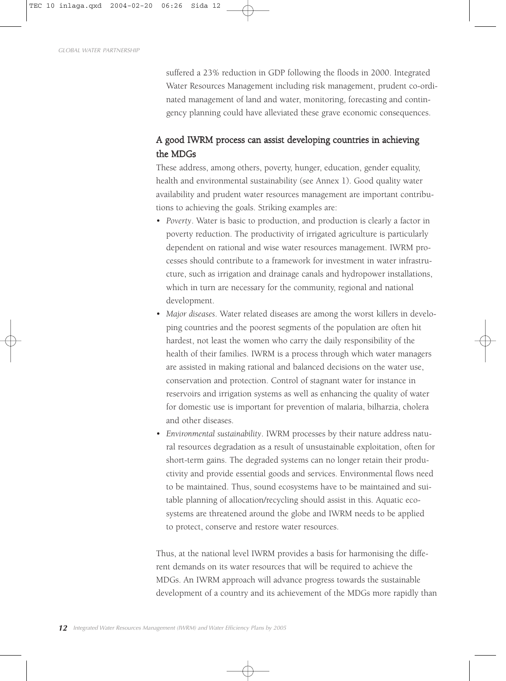suffered a 23% reduction in GDP following the floods in 2000. Integrated Water Resources Management including risk management, prudent co-ordinated management of land and water, monitoring, forecasting and contingency planning could have alleviated these grave economic consequences.

# A good IWRM process can assist developing countries in achieving the MDGs

These address, among others, poverty, hunger, education, gender equality, health and environmental sustainability (see Annex 1). Good quality water availability and prudent water resources management are important contributions to achieving the goals. Striking examples are:

- *Poverty*. Water is basic to production, and production is clearly a factor in poverty reduction. The productivity of irrigated agriculture is particularly dependent on rational and wise water resources management. IWRM processes should contribute to a framework for investment in water infrastructure, such as irrigation and drainage canals and hydropower installations, which in turn are necessary for the community, regional and national development.
- *Major diseases*. Water related diseases are among the worst killers in developing countries and the poorest segments of the population are often hit hardest, not least the women who carry the daily responsibility of the health of their families. IWRM is a process through which water managers are assisted in making rational and balanced decisions on the water use, conservation and protection. Control of stagnant water for instance in reservoirs and irrigation systems as well as enhancing the quality of water for domestic use is important for prevention of malaria, bilharzia, cholera and other diseases.
- *Environmental sustainability*. IWRM processes by their nature address natural resources degradation as a result of unsustainable exploitation, often for short-term gains. The degraded systems can no longer retain their productivity and provide essential goods and services. Environmental flows need to be maintained. Thus, sound ecosystems have to be maintained and suitable planning of allocation/recycling should assist in this. Aquatic ecosystems are threatened around the globe and IWRM needs to be applied to protect, conserve and restore water resources.

Thus, at the national level IWRM provides a basis for harmonising the different demands on its water resources that will be required to achieve the MDGs. An IWRM approach will advance progress towards the sustainable development of a country and its achievement of the MDGs more rapidly than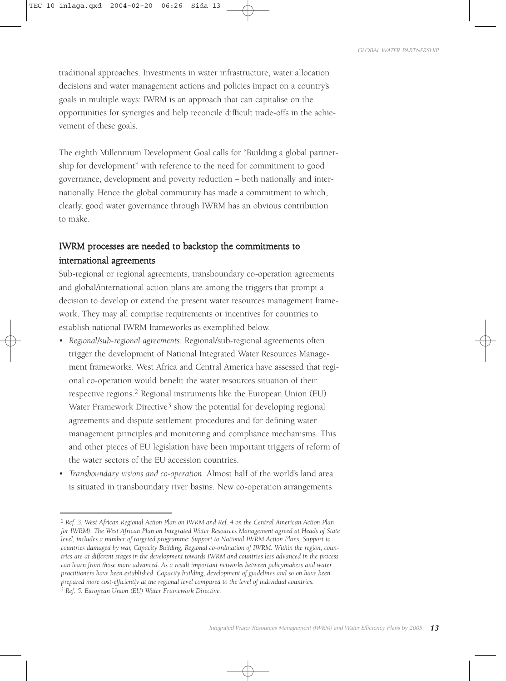traditional approaches. Investments in water infrastructure, water allocation decisions and water management actions and policies impact on a country's goals in multiple ways: IWRM is an approach that can capitalise on the opportunities for synergies and help reconcile difficult trade-offs in the achievement of these goals.

The eighth Millennium Development Goal calls for "Building a global partnership for development" with reference to the need for commitment to good governance, development and poverty reduction – both nationally and internationally. Hence the global community has made a commitment to which, clearly, good water governance through IWRM has an obvious contribution to make.

# IWRM processes are needed to backstop the commitments to international agreements

Sub-regional or regional agreements, transboundary co-operation agreements and global/international action plans are among the triggers that prompt a decision to develop or extend the present water resources management framework. They may all comprise requirements or incentives for countries to establish national IWRM frameworks as exemplified below.

- *Regional/sub-regional agreements*. Regional/sub-regional agreements often trigger the development of National Integrated Water Resources Management frameworks. West Africa and Central America have assessed that regional co-operation would benefit the water resources situation of their respective regions.<sup>2</sup> Regional instruments like the European Union (EU) Water Framework Directive<sup>3</sup> show the potential for developing regional agreements and dispute settlement procedures and for defining water management principles and monitoring and compliance mechanisms. This and other pieces of EU legislation have been important triggers of reform of the water sectors of the EU accession countries.
- *Transboundary visions and co-operation*. Almost half of the world's land area is situated in transboundary river basins. New co-operation arrangements

*<sup>2</sup> Ref. 3: West African Regional Action Plan on IWRM and Ref. 4 on the Central American Action Plan for IWRM). The West African Plan on Integrated Water Resources Management agreed at Heads of State level, includes a number of targeted programme: Support to National IWRM Action Plans, Support to countries damaged by war, Capacity Building, Regional co-ordination of IWRM. Within the region, countries are at different stages in the development towards IWRM and countries less advanced in the process can learn from those more advanced. As a result important networks between policymakers and water practitioners have been established. Capacity building, development of guidelines and so on have been prepared more cost-efficiently at the regional level compared to the level of individual countries. 3 Ref. 5: European Union (EU) Water Framework Directive.*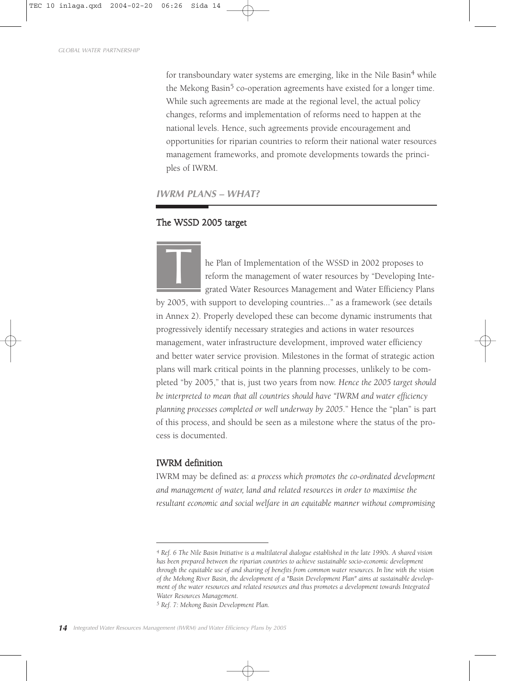for transboundary water systems are emerging, like in the Nile Basin<sup>4</sup> while the Mekong Basin<sup>5</sup> co-operation agreements have existed for a longer time. While such agreements are made at the regional level, the actual policy changes, reforms and implementation of reforms need to happen at the national levels. Hence, such agreements provide encouragement and opportunities for riparian countries to reform their national water resources management frameworks, and promote developments towards the principles of IWRM.

**IWRM PLANS – WHAT?**

### The WSSD 2005 target



he Plan of Implementation of the WSSD in 2002 proposes to reform the management of water resources by "Developing Integrated Water Resources Management and Water Efficiency Plans by 2005, with support to developing countries..." as a framework (see details

in Annex 2). Properly developed these can become dynamic instruments that progressively identify necessary strategies and actions in water resources management, water infrastructure development, improved water efficiency and better water service provision. Milestones in the format of strategic action plans will mark critical points in the planning processes, unlikely to be completed "by 2005," that is, just two years from now. *Hence the 2005 target should be interpreted to mean that all countries should have "IWRM and water efficiency planning processes completed or well underway by 2005*." Hence the "plan" is part of this process, and should be seen as a milestone where the status of the process is documented.

# IWRM definition

IWRM may be defined as: *a process which promotes the co-ordinated development and management of water, land and related resources in order to maximise the resultant economic and social welfare in an equitable manner without compromising*

*<sup>4</sup> Ref. 6 The Nile Basin Initiative is a multilateral dialogue established in the late 1990s. A shared vision has been prepared between the riparian countries to achieve sustainable socio-economic development through the equitable use of and sharing of benefits from common water resources. In line with the vision of the Mekong River Basin, the development of a "Basin Development Plan" aims at sustainable development of the water resources and related resources and thus promotes a development towards Integrated Water Resources Management.*

*<sup>5</sup> Ref. 7: Mekong Basin Development Plan.*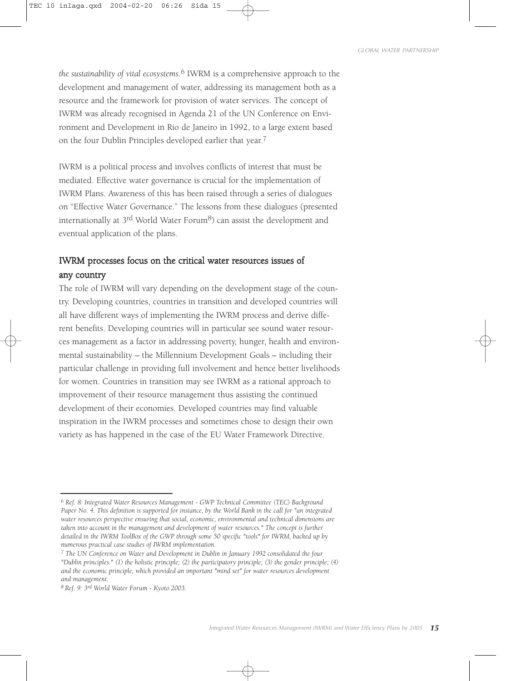*the sustainability of vital ecosystems*. 6 IWRM is a comprehensive approach to the development and management of water, addressing its management both as a resource and the framework for provision of water services. The concept of IWRM was already recognised in Agenda 21 of the UN Conference on Environment and Development in Rio de Janeiro in 1992, to a large extent based on the four Dublin Principles developed earlier that year.<sup>7</sup>

IWRM is a political process and involves conflicts of interest that must be mediated. Effective water governance is crucial for the implementation of IWRM Plans. Awareness of this has been raised through a series of dialogues on "Effective Water Governance." The lessons from these dialogues (presented internationally at 3<sup>rd</sup> World Water Forum<sup>8</sup>) can assist the development and eventual application of the plans.

# IWRM processes focus on the critical water resources issues of any country

The role of IWRM will vary depending on the development stage of the country. Developing countries, countries in transition and developed countries will all have different ways of implementing the IWRM process and derive different benefits. Developing countries will in particular see sound water resources management as a factor in addressing poverty, hunger, health and environmental sustainability – the Millennium Development Goals – including their particular challenge in providing full involvement and hence better livelihoods for women. Countries in transition may see IWRM as a rational approach to improvement of their resource management thus assisting the continued development of their economies. Developed countries may find valuable inspiration in the IWRM processes and sometimes chose to design their own variety as has happened in the case of the EU Water Framework Directive.

*<sup>6</sup> Ref. 8: Integrated Water Resources Management - GWP Technical Committee (TEC) Background Paper No. 4. This definition is supported for instance, by the World Bank in the call for "an integrated water resources perspective ensuring that social, economic, environmental and technical dimensions are taken into account in the management and development of water resources." The concept is further detailed in the IWRM ToolBox of the GWP through some 50 specific "tools" for IWRM, backed up by numerous practical case studies of IWRM implementation.*

*<sup>7</sup> The UN Conference on Water and Development in Dublin in January 1992 consolidated the four "Dublin principles." (1) the holistic principle; (2) the participatory principle; (3) the gender principle; (4) and the economic principle, which provided an important "mind set" for water resources development and management.*

*<sup>8</sup> Ref. 9: 3rd World Water Forum - Kyoto 2003.*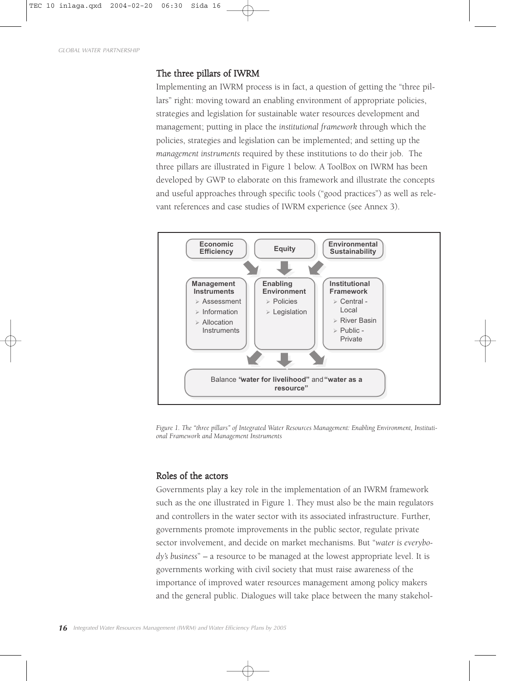# The three pillars of IWRM

Implementing an IWRM process is in fact, a question of getting the "three pillars" right: moving toward an enabling environment of appropriate policies, strategies and legislation for sustainable water resources development and management; putting in place the *institutional framework* through which the policies, strategies and legislation can be implemented; and setting up the *management instruments* required by these institutions to do their job. The three pillars are illustrated in Figure 1 below. A ToolBox on IWRM has been developed by GWP to elaborate on this framework and illustrate the concepts and useful approaches through specific tools ("good practices") as well as relevant references and case studies of IWRM experience (see Annex 3).



*Figure 1. The "three pillars" of Integrated Water Resources Management: Enabling Environment, Institutional Framework and Management Instruments*

# Roles of the actors

Governments play a key role in the implementation of an IWRM framework such as the one illustrated in Figure 1. They must also be the main regulators and controllers in the water sector with its associated infrastructure. Further, governments promote improvements in the public sector, regulate private sector involvement, and decide on market mechanisms. But "*water is everybody's business*" – a resource to be managed at the lowest appropriate level. It is governments working with civil society that must raise awareness of the importance of improved water resources management among policy makers and the general public. Dialogues will take place between the many stakehol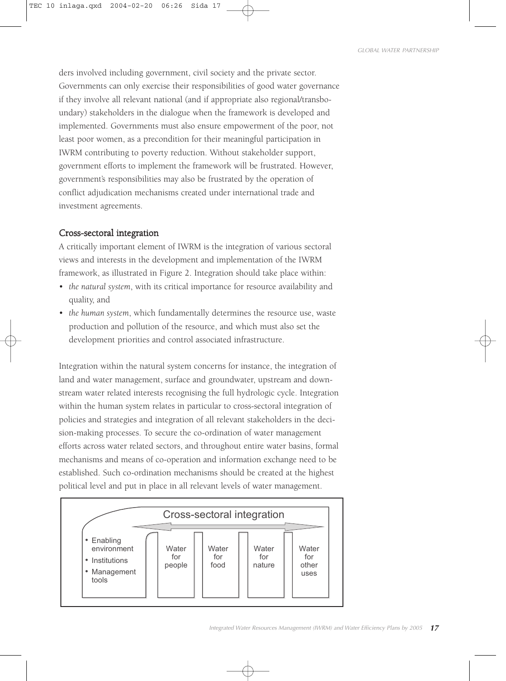ders involved including government, civil society and the private sector. Governments can only exercise their responsibilities of good water governance if they involve all relevant national (and if appropriate also regional/transboundary) stakeholders in the dialogue when the framework is developed and implemented. Governments must also ensure empowerment of the poor, not least poor women, as a precondition for their meaningful participation in IWRM contributing to poverty reduction. Without stakeholder support, government efforts to implement the framework will be frustrated. However, government's responsibilities may also be frustrated by the operation of conflict adjudication mechanisms created under international trade and investment agreements.

## Cross-sectoral integration

A critically important element of IWRM is the integration of various sectoral views and interests in the development and implementation of the IWRM framework, as illustrated in Figure 2. Integration should take place within:

- *the natural system*, with its critical importance for resource availability and quality, and
- *the human system*, which fundamentally determines the resource use, waste production and pollution of the resource, and which must also set the development priorities and control associated infrastructure.

Integration within the natural system concerns for instance, the integration of land and water management, surface and groundwater, upstream and downstream water related interests recognising the full hydrologic cycle. Integration within the human system relates in particular to cross-sectoral integration of policies and strategies and integration of all relevant stakeholders in the decision-making processes. To secure the co-ordination of water management efforts across water related sectors, and throughout entire water basins, formal mechanisms and means of co-operation and information exchange need to be established. Such co-ordination mechanisms should be created at the highest political level and put in place in all relevant levels of water management.



Integrated Water Resources Management (IWRM) and Water Efficiency Plans by 2005 **17**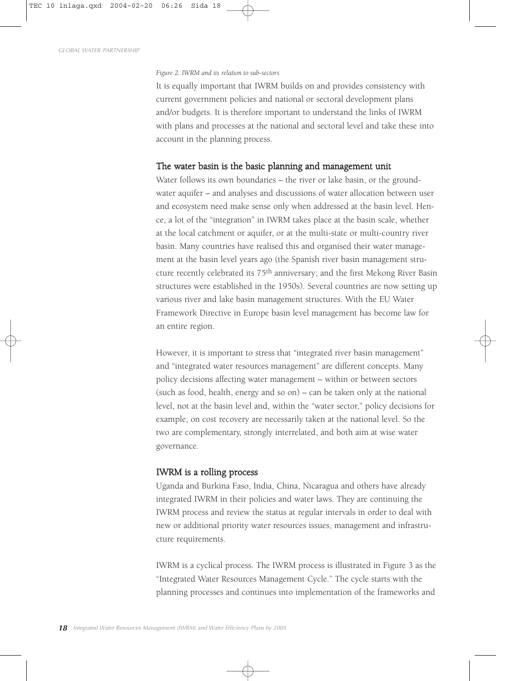#### *Figure 2. IWRM and its relation to sub-sectors*

It is equally important that IWRM builds on and provides consistency with current government policies and national or sectoral development plans and/or budgets. It is therefore important to understand the links of IWRM with plans and processes at the national and sectoral level and take these into account in the planning process.

### The water basin is the basic planning and management unit

Water follows its own boundaries – the river or lake basin, or the groundwater aquifer – and analyses and discussions of water allocation between user and ecosystem need make sense only when addressed at the basin level. Hence, a lot of the "integration" in IWRM takes place at the basin scale, whether at the local catchment or aquifer, or at the multi-state or multi-country river basin. Many countries have realised this and organised their water management at the basin level years ago (the Spanish river basin management structure recently celebrated its 75th anniversary; and the first Mekong River Basin structures were established in the 1950s). Several countries are now setting up various river and lake basin management structures. With the EU Water Framework Directive in Europe basin level management has become law for an entire region.

However, it is important to stress that "integrated river basin management" and "integrated water resources management" are different concepts. Many policy decisions affecting water management – within or between sectors (such as food, health, energy and so on) – can be taken only at the national level, not at the basin level and, within the "water sector," policy decisions for example, on cost recovery are necessarily taken at the national level. So the two are complementary, strongly interrelated, and both aim at wise water governance.

### IWRM is a rolling process

Uganda and Burkina Faso, India, China, Nicaragua and others have already integrated IWRM in their policies and water laws. They are continuing the IWRM process and review the status at regular intervals in order to deal with new or additional priority water resources issues, management and infrastructure requirements.

IWRM is a cyclical process. The IWRM process is illustrated in Figure 3 as the "Integrated Water Resources Management Cycle." The cycle starts with the planning processes and continues into implementation of the frameworks and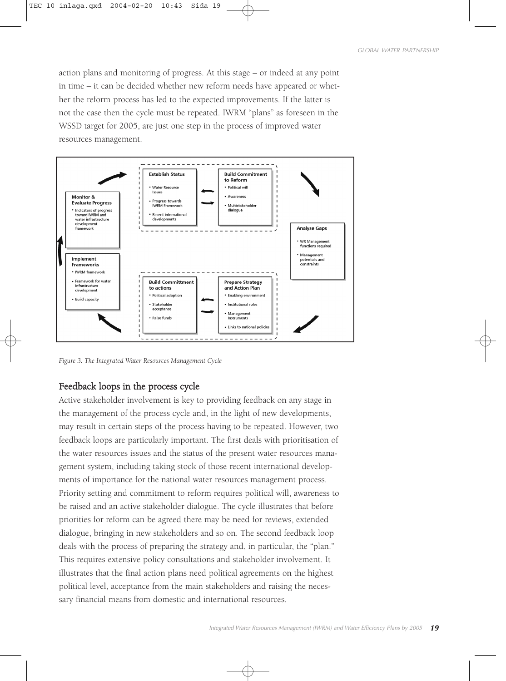action plans and monitoring of progress. At this stage – or indeed at any point in time – it can be decided whether new reform needs have appeared or whether the reform process has led to the expected improvements. If the latter is not the case then the cycle must be repeated. IWRM "plans" as foreseen in the WSSD target for 2005, are just one step in the process of improved water resources management.



*Figure 3. The Integrated Water Resources Management Cycle*

# Feedback loops in the process cycle

Active stakeholder involvement is key to providing feedback on any stage in the management of the process cycle and, in the light of new developments, may result in certain steps of the process having to be repeated. However, two feedback loops are particularly important. The first deals with prioritisation of the water resources issues and the status of the present water resources management system, including taking stock of those recent international developments of importance for the national water resources management process. Priority setting and commitment to reform requires political will, awareness to be raised and an active stakeholder dialogue. The cycle illustrates that before priorities for reform can be agreed there may be need for reviews, extended dialogue, bringing in new stakeholders and so on. The second feedback loop deals with the process of preparing the strategy and, in particular, the "plan." This requires extensive policy consultations and stakeholder involvement. It illustrates that the final action plans need political agreements on the highest political level, acceptance from the main stakeholders and raising the necessary financial means from domestic and international resources.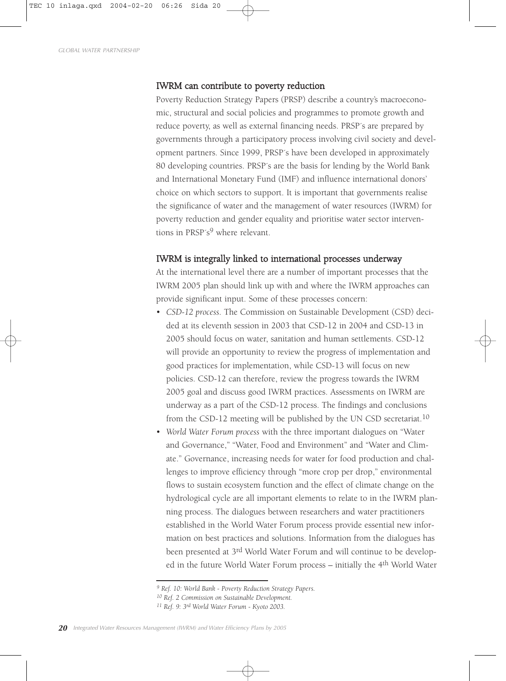# IWRM can contribute to poverty reduction

Poverty Reduction Strategy Papers (PRSP) describe a country's macroeconomic, structural and social policies and programmes to promote growth and reduce poverty, as well as external financing needs. PRSP´s are prepared by governments through a participatory process involving civil society and development partners. Since 1999, PRSP´s have been developed in approximately 80 developing countries. PRSP´s are the basis for lending by the World Bank and International Monetary Fund (IMF) and influence international donors' choice on which sectors to support. It is important that governments realise the significance of water and the management of water resources (IWRM) for poverty reduction and gender equality and prioritise water sector interventions in PRSP's<sup>9</sup> where relevant.

## IWRM is integrally linked to international processes underway

At the international level there are a number of important processes that the IWRM 2005 plan should link up with and where the IWRM approaches can provide significant input. Some of these processes concern:

- *CSD-12 process*. The Commission on Sustainable Development (CSD) decided at its eleventh session in 2003 that CSD-12 in 2004 and CSD-13 in 2005 should focus on water, sanitation and human settlements. CSD-12 will provide an opportunity to review the progress of implementation and good practices for implementation, while CSD-13 will focus on new policies. CSD-12 can therefore, review the progress towards the IWRM 2005 goal and discuss good IWRM practices. Assessments on IWRM are underway as a part of the CSD-12 process. The findings and conclusions from the CSD-12 meeting will be published by the UN CSD secretariat.10
- *World Water Forum process* with the three important dialogues on "Water and Governance," "Water, Food and Environment" and "Water and Climate." Governance, increasing needs for water for food production and challenges to improve efficiency through "more crop per drop," environmental flows to sustain ecosystem function and the effect of climate change on the hydrological cycle are all important elements to relate to in the IWRM planning process. The dialogues between researchers and water practitioners established in the World Water Forum process provide essential new information on best practices and solutions. Information from the dialogues has been presented at 3rd World Water Forum and will continue to be developed in the future World Water Forum process – initially the 4th World Water

*<sup>9</sup> Ref. 10: World Bank - Poverty Reduction Strategy Papers.*

*<sup>10</sup> Ref. 2 Commission on Sustainable Development.*

*<sup>11</sup> Ref. 9: 3rd World Water Forum - Kyoto 2003.*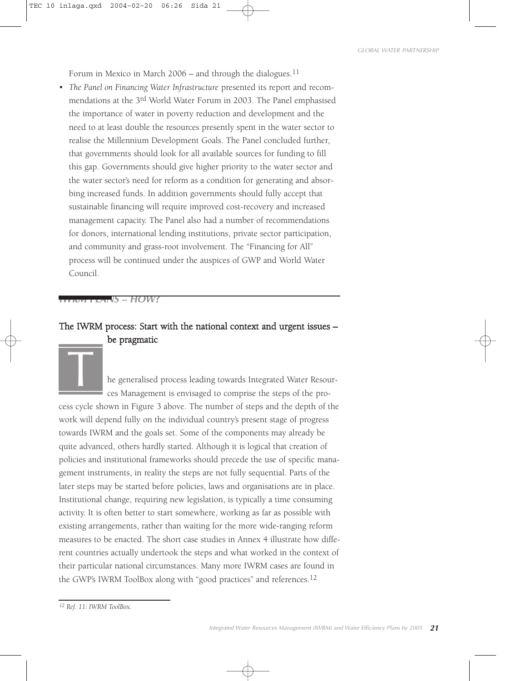Forum in Mexico in March  $2006 -$  and through the dialogues.<sup>11</sup>

• *The Panel on Financing Water Infrastructure* presented its report and recommendations at the 3rd World Water Forum in 2003. The Panel emphasised the importance of water in poverty reduction and development and the need to at least double the resources presently spent in the water sector to realise the Millennium Development Goals. The Panel concluded further, that governments should look for all available sources for funding to fill this gap. Governments should give higher priority to the water sector and the water sector's need for reform as a condition for generating and absorbing increased funds. In addition governments should fully accept that sustainable financing will require improved cost-recovery and increased management capacity. The Panel also had a number of recommendations for donors, international lending institutions, private sector participation, and community and grass-root involvement. The "Financing for All" process will be continued under the auspices of GWP and World Water Council.

#### **I**S – HOW?

# The IWRM process: Start with the national context and urgent issues – be pragmatic



he generalised process leading towards Integrated Water Resources Management is envisaged to comprise the steps of the process cycle shown in Figure 3 above. The number of steps and the depth of the work will depend fully on the individual country's present stage of progress towards IWRM and the goals set. Some of the components may already be quite advanced, others hardly started. Although it is logical that creation of policies and institutional frameworks should precede the use of specific management instruments, in reality the steps are not fully sequential. Parts of the later steps may be started before policies, laws and organisations are in place. Institutional change, requiring new legislation, is typically a time consuming activity. It is often better to start somewhere, working as far as possible with existing arrangements, rather than waiting for the more wide-ranging reform measures to be enacted. The short case studies in Annex 4 illustrate how different countries actually undertook the steps and what worked in the context of their particular national circumstances. Many more IWRM cases are found in the GWP's IWRM ToolBox along with "good practices" and references.<sup>12</sup>

*<sup>12</sup> Ref. 11: IWRM ToolBox.*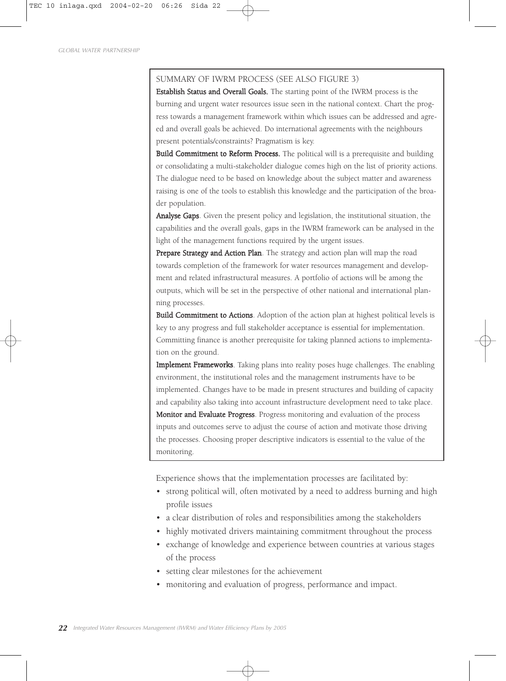#### SUMMARY OF IWRM PROCESS (SEE ALSO FIGURE 3)

Establish Status and Overall Goals. The starting point of the IWRM process is the burning and urgent water resources issue seen in the national context. Chart the progress towards a management framework within which issues can be addressed and agreed and overall goals be achieved. Do international agreements with the neighbours present potentials/constraints? Pragmatism is key.

Build Commitment to Reform Process. The political will is a prerequisite and building or consolidating a multi-stakeholder dialogue comes high on the list of priority actions. The dialogue need to be based on knowledge about the subject matter and awareness raising is one of the tools to establish this knowledge and the participation of the broader population.

Analyse Gaps. Given the present policy and legislation, the institutional situation, the capabilities and the overall goals, gaps in the IWRM framework can be analysed in the light of the management functions required by the urgent issues.

Prepare Strategy and Action Plan. The strategy and action plan will map the road towards completion of the framework for water resources management and development and related infrastructural measures. A portfolio of actions will be among the outputs, which will be set in the perspective of other national and international planning processes.

Build Commitment to Actions. Adoption of the action plan at highest political levels is key to any progress and full stakeholder acceptance is essential for implementation. Committing finance is another prerequisite for taking planned actions to implementation on the ground.

Implement Frameworks. Taking plans into reality poses huge challenges. The enabling environment, the institutional roles and the management instruments have to be implemented. Changes have to be made in present structures and building of capacity and capability also taking into account infrastructure development need to take place. Monitor and Evaluate Progress. Progress monitoring and evaluation of the process inputs and outcomes serve to adjust the course of action and motivate those driving the processes. Choosing proper descriptive indicators is essential to the value of the monitoring.

Experience shows that the implementation processes are facilitated by:

- strong political will, often motivated by a need to address burning and high profile issues
- a clear distribution of roles and responsibilities among the stakeholders
- highly motivated drivers maintaining commitment throughout the process
- exchange of knowledge and experience between countries at various stages of the process
- setting clear milestones for the achievement
- monitoring and evaluation of progress, performance and impact.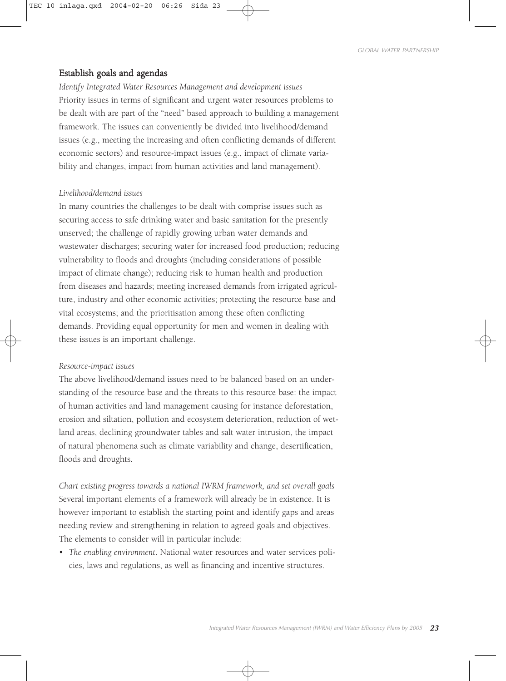# Establish goals and agendas

*Identify Integrated Water Resources Management and development issues* Priority issues in terms of significant and urgent water resources problems to be dealt with are part of the "need" based approach to building a management framework. The issues can conveniently be divided into livelihood/demand issues (e.g., meeting the increasing and often conflicting demands of different economic sectors) and resource-impact issues (e.g., impact of climate variability and changes, impact from human activities and land management).

#### *Livelihood/demand issues*

In many countries the challenges to be dealt with comprise issues such as securing access to safe drinking water and basic sanitation for the presently unserved; the challenge of rapidly growing urban water demands and wastewater discharges; securing water for increased food production; reducing vulnerability to floods and droughts (including considerations of possible impact of climate change); reducing risk to human health and production from diseases and hazards; meeting increased demands from irrigated agriculture, industry and other economic activities; protecting the resource base and vital ecosystems; and the prioritisation among these often conflicting demands. Providing equal opportunity for men and women in dealing with these issues is an important challenge.

#### *Resource-impact issues*

The above livelihood/demand issues need to be balanced based on an understanding of the resource base and the threats to this resource base: the impact of human activities and land management causing for instance deforestation, erosion and siltation, pollution and ecosystem deterioration, reduction of wetland areas, declining groundwater tables and salt water intrusion, the impact of natural phenomena such as climate variability and change, desertification, floods and droughts.

*Chart existing progress towards a national IWRM framework, and set overall goals* Several important elements of a framework will already be in existence. It is however important to establish the starting point and identify gaps and areas needing review and strengthening in relation to agreed goals and objectives. The elements to consider will in particular include:

• *The enabling environment*. National water resources and water services policies, laws and regulations, as well as financing and incentive structures.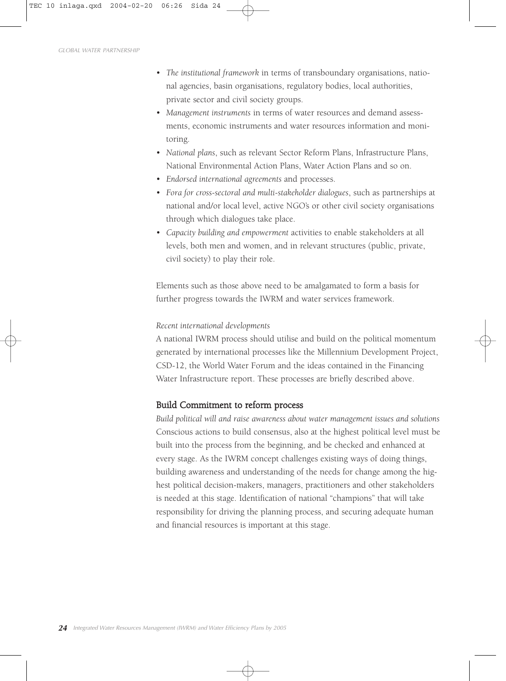- *The institutional framework* in terms of transboundary organisations, national agencies, basin organisations, regulatory bodies, local authorities, private sector and civil society groups.
- *Management instruments* in terms of water resources and demand assessments, economic instruments and water resources information and monitoring.
- *National plans*, such as relevant Sector Reform Plans, Infrastructure Plans, National Environmental Action Plans, Water Action Plans and so on.
- *Endorsed international agreements* and processes.
- *Fora for cross-sectoral and multi-stakeholder dialogues*, such as partnerships at national and/or local level, active NGO's or other civil society organisations through which dialogues take place.
- *Capacity building and empowerment* activities to enable stakeholders at all levels, both men and women, and in relevant structures (public, private, civil society) to play their role.

Elements such as those above need to be amalgamated to form a basis for further progress towards the IWRM and water services framework.

### *Recent international developments*

A national IWRM process should utilise and build on the political momentum generated by international processes like the Millennium Development Project, CSD-12, the World Water Forum and the ideas contained in the Financing Water Infrastructure report. These processes are briefly described above.

# Build Commitment to reform process

*Build political will and raise awareness about water management issues and solutions* Conscious actions to build consensus, also at the highest political level must be built into the process from the beginning, and be checked and enhanced at every stage. As the IWRM concept challenges existing ways of doing things, building awareness and understanding of the needs for change among the highest political decision-makers, managers, practitioners and other stakeholders is needed at this stage. Identification of national "champions" that will take responsibility for driving the planning process, and securing adequate human and financial resources is important at this stage.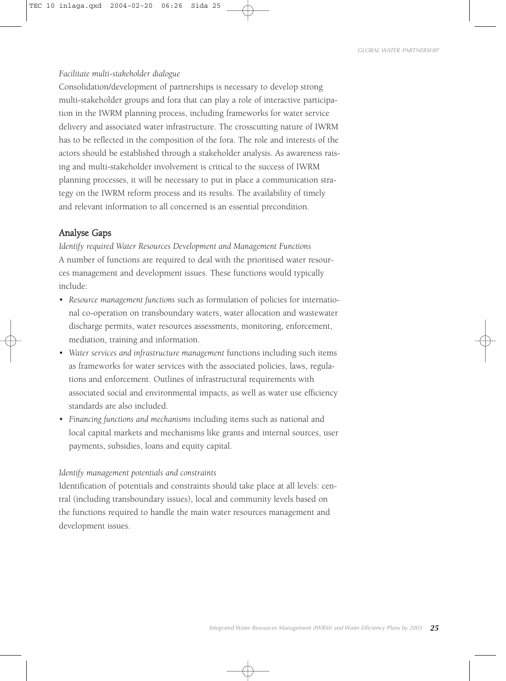### *Facilitate multi-stakeholder dialogue*

Consolidation/development of partnerships is necessary to develop strong multi-stakeholder groups and fora that can play a role of interactive participation in the IWRM planning process, including frameworks for water service delivery and associated water infrastructure. The crosscutting nature of IWRM has to be reflected in the composition of the fora. The role and interests of the actors should be established through a stakeholder analysis. As awareness raising and multi-stakeholder involvement is critical to the success of IWRM planning processes, it will be necessary to put in place a communication strategy on the IWRM reform process and its results. The availability of timely and relevant information to all concerned is an essential precondition.

#### Analyse Gaps

*Identify required Water Resources Development and Management Functions*  A number of functions are required to deal with the prioritised water resources management and development issues. These functions would typically include:

- *Resource management functions* such as formulation of policies for international co-operation on transboundary waters, water allocation and wastewater discharge permits, water resources assessments, monitoring, enforcement, mediation, training and information.
- *Water services and infrastructure management* functions including such items as frameworks for water services with the associated policies, laws, regulations and enforcement. Outlines of infrastructural requirements with associated social and environmental impacts, as well as water use efficiency standards are also included.
- *Financing functions and mechanisms* including items such as national and local capital markets and mechanisms like grants and internal sources, user payments, subsidies, loans and equity capital.

#### *Identify management potentials and constraints*

Identification of potentials and constraints should take place at all levels: central (including transboundary issues), local and community levels based on the functions required to handle the main water resources management and development issues.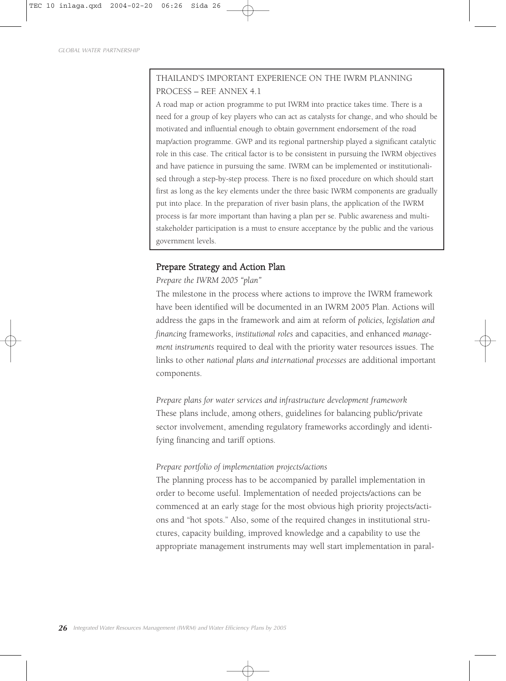# THAILAND'S IMPORTANT EXPERIENCE ON THE IWRM PLANNING PROCESS – REF. ANNEX 4.1

A road map or action programme to put IWRM into practice takes time. There is a need for a group of key players who can act as catalysts for change, and who should be motivated and influential enough to obtain government endorsement of the road map/action programme. GWP and its regional partnership played a significant catalytic role in this case. The critical factor is to be consistent in pursuing the IWRM objectives and have patience in pursuing the same. IWRM can be implemented or institutionalised through a step-by-step process. There is no fixed procedure on which should start first as long as the key elements under the three basic IWRM components are gradually put into place. In the preparation of river basin plans, the application of the IWRM process is far more important than having a plan per se. Public awareness and multistakeholder participation is a must to ensure acceptance by the public and the various government levels.

# Prepare Strategy and Action Plan

*Prepare the IWRM 2005 "plan"*

The milestone in the process where actions to improve the IWRM framework have been identified will be documented in an IWRM 2005 Plan. Actions will address the gaps in the framework and aim at reform of *policies, legislation and financing* frameworks, *institutional roles* and capacities, and enhanced *management instruments* required to deal with the priority water resources issues. The links to other *national plans and international processes* are additional important components.

*Prepare plans for water services and infrastructure development framework*  These plans include, among others, guidelines for balancing public/private sector involvement, amending regulatory frameworks accordingly and identifying financing and tariff options.

#### *Prepare portfolio of implementation projects/actions*

The planning process has to be accompanied by parallel implementation in order to become useful. Implementation of needed projects/actions can be commenced at an early stage for the most obvious high priority projects/actions and "hot spots." Also, some of the required changes in institutional structures, capacity building, improved knowledge and a capability to use the appropriate management instruments may well start implementation in paral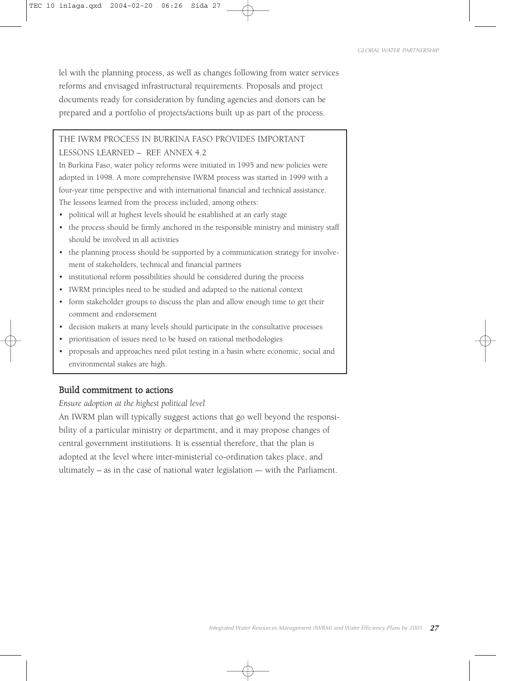lel with the planning process, as well as changes following from water services reforms and envisaged infrastructural requirements. Proposals and project documents ready for consideration by funding agencies and donors can be prepared and a portfolio of projects/actions built up as part of the process.

THE IWRM PROCESS IN BURKINA FASO PROVIDES IMPORTANT

LESSONS LEARNED – REF. ANNEX 4.2

In Burkina Faso, water policy reforms were initiated in 1995 and new policies were adopted in 1998. A more comprehensive IWRM process was started in 1999 with a four-year time perspective and with international financial and technical assistance. The lessons learned from the process included, among others:

- political will at highest levels should be established at an early stage
- the process should be firmly anchored in the responsible ministry and ministry staff should be involved in all activities
- the planning process should be supported by a communication strategy for involvement of stakeholders, technical and financial partners
- institutional reform possibilities should be considered during the process
- IWRM principles need to be studied and adapted to the national context
- form stakeholder groups to discuss the plan and allow enough time to get their comment and endorsement
- decision makers at many levels should participate in the consultative processes
- prioritisation of issues need to be based on rational methodologies
- proposals and approaches need pilot testing in a basin where economic, social and environmental stakes are high.

# Build commitment to actions

*Ensure adoption at the highest political level*

An IWRM plan will typically suggest actions that go well beyond the responsibility of a particular ministry or department, and it may propose changes of central government institutions. It is essential therefore, that the plan is adopted at the level where inter-ministerial co-ordination takes place, and ultimately – as in the case of national water legislation –- with the Parliament.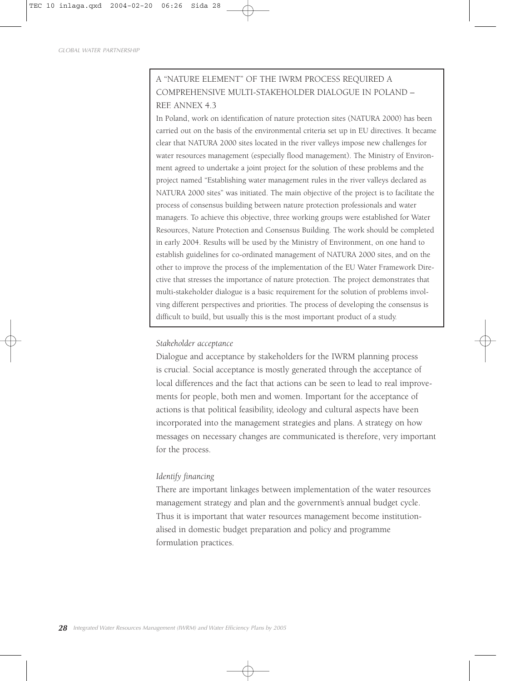# A "NATURE ELEMENT" OF THE IWRM PROCESS REQUIRED A COMPREHENSIVE MULTI-STAKEHOLDER DIALOGUE IN POLAND – REF. ANNEX 4.3

In Poland, work on identification of nature protection sites (NATURA 2000) has been carried out on the basis of the environmental criteria set up in EU directives. It became clear that NATURA 2000 sites located in the river valleys impose new challenges for water resources management (especially flood management). The Ministry of Environment agreed to undertake a joint project for the solution of these problems and the project named "Establishing water management rules in the river valleys declared as NATURA 2000 sites" was initiated. The main objective of the project is to facilitate the process of consensus building between nature protection professionals and water managers. To achieve this objective, three working groups were established for Water Resources, Nature Protection and Consensus Building. The work should be completed in early 2004. Results will be used by the Ministry of Environment, on one hand to establish guidelines for co-ordinated management of NATURA 2000 sites, and on the other to improve the process of the implementation of the EU Water Framework Directive that stresses the importance of nature protection. The project demonstrates that multi-stakeholder dialogue is a basic requirement for the solution of problems involving different perspectives and priorities. The process of developing the consensus is difficult to build, but usually this is the most important product of a study.

#### *Stakeholder acceptance*

Dialogue and acceptance by stakeholders for the IWRM planning process is crucial. Social acceptance is mostly generated through the acceptance of local differences and the fact that actions can be seen to lead to real improvements for people, both men and women. Important for the acceptance of actions is that political feasibility, ideology and cultural aspects have been incorporated into the management strategies and plans. A strategy on how messages on necessary changes are communicated is therefore, very important for the process.

#### *Identify financing*

There are important linkages between implementation of the water resources management strategy and plan and the government's annual budget cycle. Thus it is important that water resources management become institutionalised in domestic budget preparation and policy and programme formulation practices.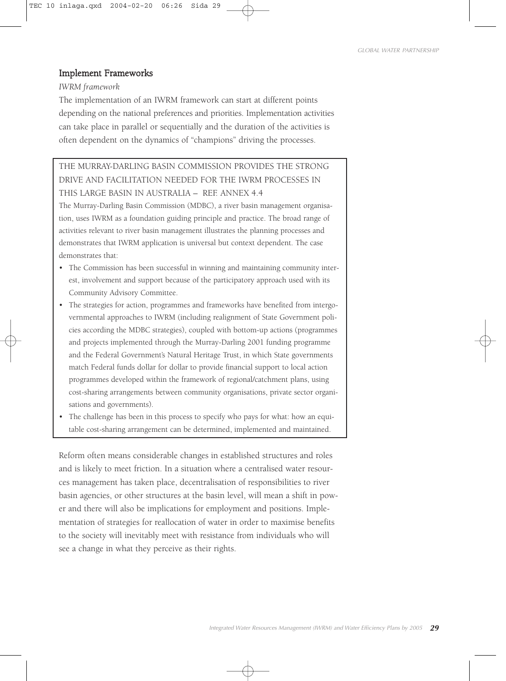# Implement Frameworks

#### *IWRM framework*

The implementation of an IWRM framework can start at different points depending on the national preferences and priorities. Implementation activities can take place in parallel or sequentially and the duration of the activities is often dependent on the dynamics of "champions" driving the processes.

# THE MURRAY-DARLING BASIN COMMISSION PROVIDES THE STRONG DRIVE AND FACILITATION NEEDED FOR THE IWRM PROCESSES IN THIS LARGE BASIN IN AUSTRALIA – REF. ANNEX 4.4

The Murray-Darling Basin Commission (MDBC), a river basin management organisation, uses IWRM as a foundation guiding principle and practice. The broad range of activities relevant to river basin management illustrates the planning processes and demonstrates that IWRM application is universal but context dependent. The case demonstrates that:

- The Commission has been successful in winning and maintaining community interest, involvement and support because of the participatory approach used with its Community Advisory Committee.
- The strategies for action, programmes and frameworks have benefited from intergovernmental approaches to IWRM (including realignment of State Government policies according the MDBC strategies), coupled with bottom-up actions (programmes and projects implemented through the Murray-Darling 2001 funding programme and the Federal Government's Natural Heritage Trust, in which State governments match Federal funds dollar for dollar to provide financial support to local action programmes developed within the framework of regional/catchment plans, using cost-sharing arrangements between community organisations, private sector organisations and governments).
- The challenge has been in this process to specify who pays for what: how an equitable cost-sharing arrangement can be determined, implemented and maintained.

Reform often means considerable changes in established structures and roles and is likely to meet friction. In a situation where a centralised water resources management has taken place, decentralisation of responsibilities to river basin agencies, or other structures at the basin level, will mean a shift in power and there will also be implications for employment and positions. Implementation of strategies for reallocation of water in order to maximise benefits to the society will inevitably meet with resistance from individuals who will see a change in what they perceive as their rights.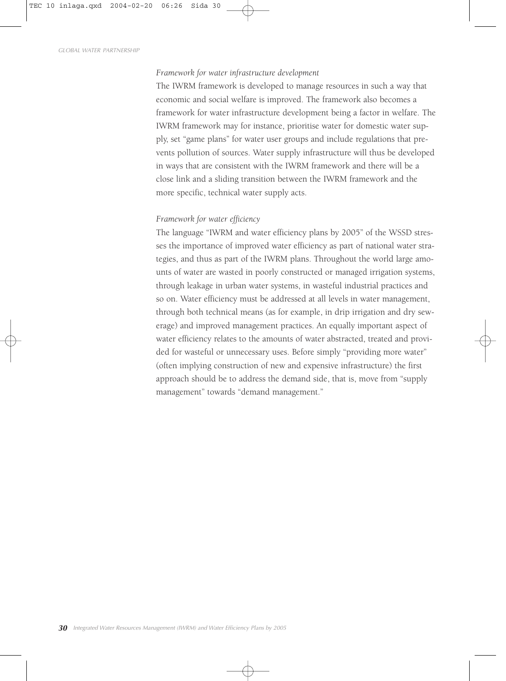#### *Framework for water infrastructure development*

The IWRM framework is developed to manage resources in such a way that economic and social welfare is improved. The framework also becomes a framework for water infrastructure development being a factor in welfare. The IWRM framework may for instance, prioritise water for domestic water supply, set "game plans" for water user groups and include regulations that prevents pollution of sources. Water supply infrastructure will thus be developed in ways that are consistent with the IWRM framework and there will be a close link and a sliding transition between the IWRM framework and the more specific, technical water supply acts.

#### *Framework for water efficiency*

The language "IWRM and water efficiency plans by 2005" of the WSSD stresses the importance of improved water efficiency as part of national water strategies, and thus as part of the IWRM plans. Throughout the world large amounts of water are wasted in poorly constructed or managed irrigation systems, through leakage in urban water systems, in wasteful industrial practices and so on. Water efficiency must be addressed at all levels in water management, through both technical means (as for example, in drip irrigation and dry sewerage) and improved management practices. An equally important aspect of water efficiency relates to the amounts of water abstracted, treated and provided for wasteful or unnecessary uses. Before simply "providing more water" (often implying construction of new and expensive infrastructure) the first approach should be to address the demand side, that is, move from "supply management" towards "demand management."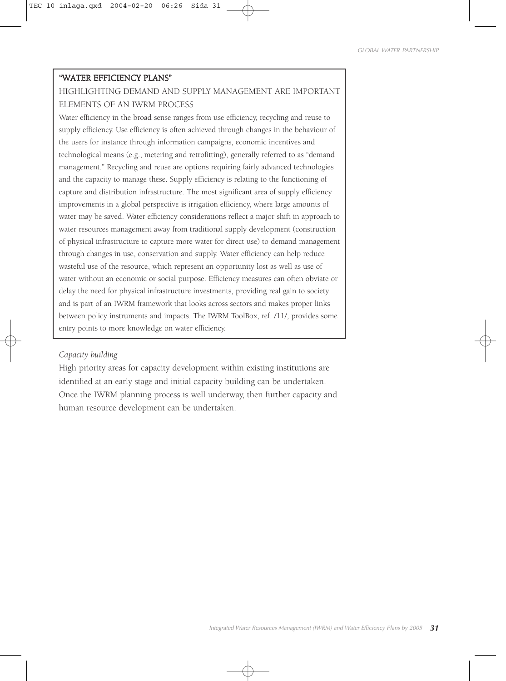# "WATER EFFICIENCY PLANS"

# HIGHLIGHTING DEMAND AND SUPPLY MANAGEMENT ARE IMPORTANT ELEMENTS OF AN IWRM PROCESS

Water efficiency in the broad sense ranges from use efficiency, recycling and reuse to supply efficiency. Use efficiency is often achieved through changes in the behaviour of the users for instance through information campaigns, economic incentives and technological means (e.g., metering and retrofitting), generally referred to as "demand management." Recycling and reuse are options requiring fairly advanced technologies and the capacity to manage these. Supply efficiency is relating to the functioning of capture and distribution infrastructure. The most significant area of supply efficiency improvements in a global perspective is irrigation efficiency, where large amounts of water may be saved. Water efficiency considerations reflect a major shift in approach to water resources management away from traditional supply development (construction of physical infrastructure to capture more water for direct use) to demand management through changes in use, conservation and supply. Water efficiency can help reduce wasteful use of the resource, which represent an opportunity lost as well as use of water without an economic or social purpose. Efficiency measures can often obviate or delay the need for physical infrastructure investments, providing real gain to society and is part of an IWRM framework that looks across sectors and makes proper links between policy instruments and impacts. The IWRM ToolBox, ref. /11/, provides some entry points to more knowledge on water efficiency.

#### *Capacity building*

High priority areas for capacity development within existing institutions are identified at an early stage and initial capacity building can be undertaken. Once the IWRM planning process is well underway, then further capacity and human resource development can be undertaken.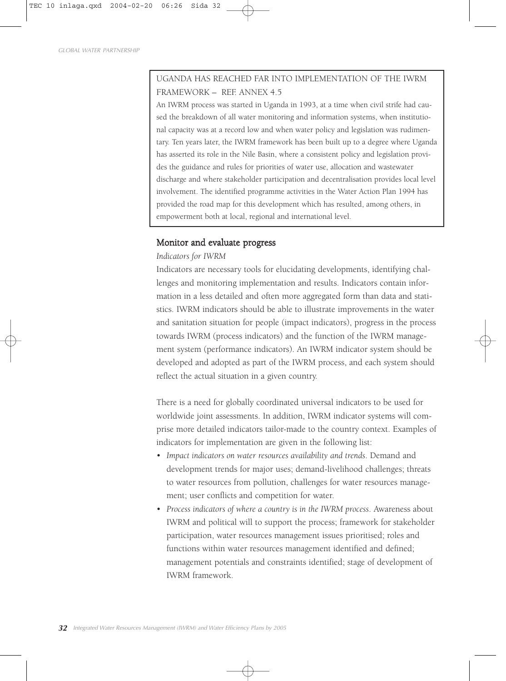# UGANDA HAS REACHED FAR INTO IMPLEMENTATION OF THE IWRM FRAMEWORK – REF. ANNEX 4.5

An IWRM process was started in Uganda in 1993, at a time when civil strife had caused the breakdown of all water monitoring and information systems, when institutional capacity was at a record low and when water policy and legislation was rudimentary. Ten years later, the IWRM framework has been built up to a degree where Uganda has asserted its role in the Nile Basin, where a consistent policy and legislation provides the guidance and rules for priorities of water use, allocation and wastewater discharge and where stakeholder participation and decentralisation provides local level involvement. The identified programme activities in the Water Action Plan 1994 has provided the road map for this development which has resulted, among others, in empowerment both at local, regional and international level.

# Monitor and evaluate progress

#### *Indicators for IWRM*

Indicators are necessary tools for elucidating developments, identifying challenges and monitoring implementation and results. Indicators contain information in a less detailed and often more aggregated form than data and statistics. IWRM indicators should be able to illustrate improvements in the water and sanitation situation for people (impact indicators), progress in the process towards IWRM (process indicators) and the function of the IWRM management system (performance indicators). An IWRM indicator system should be developed and adopted as part of the IWRM process, and each system should reflect the actual situation in a given country.

There is a need for globally coordinated universal indicators to be used for worldwide joint assessments. In addition, IWRM indicator systems will comprise more detailed indicators tailor-made to the country context. Examples of indicators for implementation are given in the following list:

- *Impact indicators on water resources availability and trends*. Demand and development trends for major uses; demand-livelihood challenges; threats to water resources from pollution, challenges for water resources management; user conflicts and competition for water.
- *Process indicators of where a country is in the IWRM process*. Awareness about IWRM and political will to support the process; framework for stakeholder participation, water resources management issues prioritised; roles and functions within water resources management identified and defined; management potentials and constraints identified; stage of development of IWRM framework.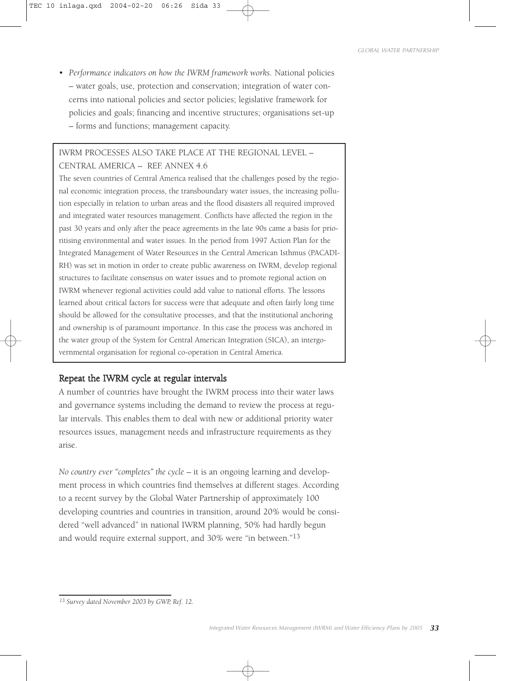• *Performance indicators on how the IWRM framework works*. National policies – water goals, use, protection and conservation; integration of water concerns into national policies and sector policies; legislative framework for policies and goals; financing and incentive structures; organisations set-up – forms and functions; management capacity.

# IWRM PROCESSES ALSO TAKE PLACE AT THE REGIONAL LEVEL – CENTRAL AMERICA – REF. ANNEX 4.6

The seven countries of Central America realised that the challenges posed by the regional economic integration process, the transboundary water issues, the increasing pollution especially in relation to urban areas and the flood disasters all required improved and integrated water resources management. Conflicts have affected the region in the past 30 years and only after the peace agreements in the late 90s came a basis for prioritising environmental and water issues. In the period from 1997 Action Plan for the Integrated Management of Water Resources in the Central American Isthmus (PACADI-RH) was set in motion in order to create public awareness on IWRM, develop regional structures to facilitate consensus on water issues and to promote regional action on IWRM whenever regional activities could add value to national efforts. The lessons learned about critical factors for success were that adequate and often fairly long time should be allowed for the consultative processes, and that the institutional anchoring and ownership is of paramount importance. In this case the process was anchored in the water group of the System for Central American Integration (SICA), an intergovernmental organisation for regional co-operation in Central America.

### Repeat the IWRM cycle at regular intervals

A number of countries have brought the IWRM process into their water laws and governance systems including the demand to review the process at regular intervals. This enables them to deal with new or additional priority water resources issues, management needs and infrastructure requirements as they arise.

*No country ever "completes" the cycle* – it is an ongoing learning and development process in which countries find themselves at different stages. According to a recent survey by the Global Water Partnership of approximately 100 developing countries and countries in transition, around 20% would be considered "well advanced" in national IWRM planning, 50% had hardly begun and would require external support, and 30% were "in between."<sup>13</sup>

*<sup>13</sup> Survey dated November 2003 by GWP, Ref. 12.*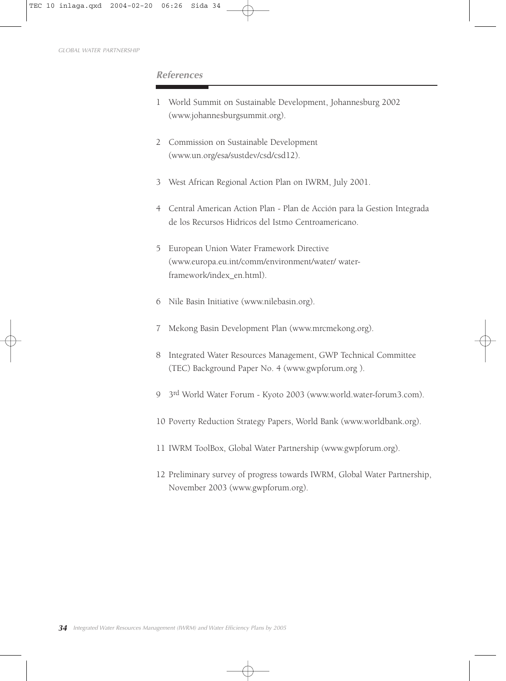# **References**

- 1 World Summit on Sustainable Development, Johannesburg 2002 (www.johannesburgsummit.org).
- 2 Commission on Sustainable Development (www.un.org/esa/sustdev/csd/csd12).
- 3 West African Regional Action Plan on IWRM, July 2001.
- 4 Central American Action Plan Plan de Acción para la Gestion Integrada de los Recursos Hidricos del Istmo Centroamericano.
- 5 European Union Water Framework Directive (www.europa.eu.int/comm/environment/water/ waterframework/index\_en.html).
- 6 Nile Basin Initiative (www.nilebasin.org).
- 7 Mekong Basin Development Plan (www.mrcmekong.org).
- 8 Integrated Water Resources Management, GWP Technical Committee (TEC) Background Paper No. 4 (www.gwpforum.org ).
- 9 3rd World Water Forum Kyoto 2003 (www.world.water-forum3.com).
- 10 Poverty Reduction Strategy Papers, World Bank (www.worldbank.org).
- 11 IWRM ToolBox, Global Water Partnership (www.gwpforum.org).
- 12 Preliminary survey of progress towards IWRM, Global Water Partnership, November 2003 (www.gwpforum.org).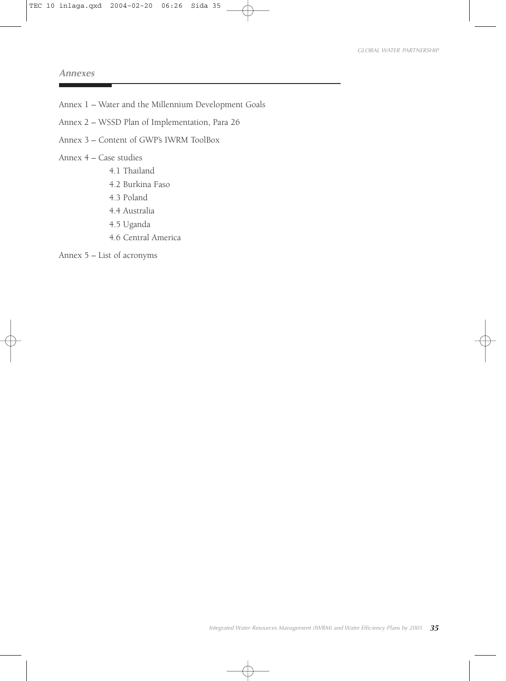# **Annexes**

- Annex 1 Water and the Millennium Development Goals
- Annex 2 WSSD Plan of Implementation, Para 26
- Annex 3 Content of GWP's IWRM ToolBox
- Annex 4 Case studies
	- 4.1 Thailand
	- 4.2 Burkina Faso
	- 4.3 Poland
	- 4.4 Australia
	- 4.5 Uganda
	- 4.6 Central America

Annex 5 – List of acronyms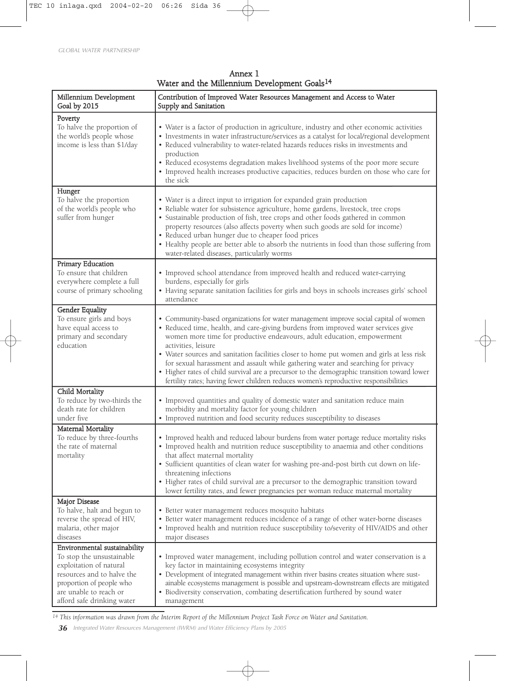|                                                                                                                                                                                                        | $\ldots$ and also the minimum between property.                                                                                                                                                                                                                                                                                                                                                                                                                                                                                                                                                                                                      |
|--------------------------------------------------------------------------------------------------------------------------------------------------------------------------------------------------------|------------------------------------------------------------------------------------------------------------------------------------------------------------------------------------------------------------------------------------------------------------------------------------------------------------------------------------------------------------------------------------------------------------------------------------------------------------------------------------------------------------------------------------------------------------------------------------------------------------------------------------------------------|
| Millennium Development<br>Goal by 2015                                                                                                                                                                 | Contribution of Improved Water Resources Management and Access to Water<br>Supply and Sanitation                                                                                                                                                                                                                                                                                                                                                                                                                                                                                                                                                     |
| Poverty<br>To halve the proportion of<br>the world's people whose<br>income is less than \$1/day                                                                                                       | • Water is a factor of production in agriculture, industry and other economic activities<br>• Investments in water infrastructure/services as a catalyst for local/regional development<br>• Reduced vulnerability to water-related hazards reduces risks in investments and<br>production<br>• Reduced ecosystems degradation makes livelihood systems of the poor more secure<br>• Improved health increases productive capacities, reduces burden on those who care for<br>the sick                                                                                                                                                               |
| Hunger<br>To halve the proportion<br>of the world's people who<br>suffer from hunger                                                                                                                   | • Water is a direct input to irrigation for expanded grain production<br>• Reliable water for subsistence agriculture, home gardens, livestock, tree crops<br>• Sustainable production of fish, tree crops and other foods gathered in common<br>property resources (also affects poverty when such goods are sold for income)<br>• Reduced urban hunger due to cheaper food prices<br>• Healthy people are better able to absorb the nutrients in food than those suffering from<br>water-related diseases, particularly worms                                                                                                                      |
| Primary Education<br>To ensure that children<br>everywhere complete a full<br>course of primary schooling                                                                                              | • Improved school attendance from improved health and reduced water-carrying<br>burdens, especially for girls<br>• Having separate sanitation facilities for girls and boys in schools increases girls' school<br>attendance                                                                                                                                                                                                                                                                                                                                                                                                                         |
| Gender Equality<br>To ensure girls and boys<br>have equal access to<br>primary and secondary<br>education                                                                                              | • Community-based organizations for water management improve social capital of women<br>• Reduced time, health, and care-giving burdens from improved water services give<br>women more time for productive endeavours, adult education, empowerment<br>activities, leisure<br>• Water sources and sanitation facilities closer to home put women and girls at less risk<br>for sexual harassment and assault while gathering water and searching for privacy<br>• Higher rates of child survival are a precursor to the demographic transition toward lower<br>fertility rates; having fewer children reduces women's reproductive responsibilities |
| Child Mortality<br>To reduce by two-thirds the<br>death rate for children<br>under five                                                                                                                | • Improved quantities and quality of domestic water and sanitation reduce main<br>morbidity and mortality factor for young children<br>• Improved nutrition and food security reduces susceptibility to diseases                                                                                                                                                                                                                                                                                                                                                                                                                                     |
| Maternal Mortality<br>To reduce by three-fourths<br>the rate of maternal<br>mortality                                                                                                                  | • Improved health and reduced labour burdens from water portage reduce mortality risks<br>• Improved health and nutrition reduce susceptibility to anaemia and other conditions<br>that affect maternal mortality<br>• Sufficient quantities of clean water for washing pre-and-post birth cut down on life-<br>threatening infections<br>• Higher rates of child survival are a precursor to the demographic transition toward<br>lower fertility rates, and fewer pregnancies per woman reduce maternal mortality                                                                                                                                  |
| Major Disease<br>To halve, halt and begun to<br>reverse the spread of HIV,<br>malaria, other major<br>diseases                                                                                         | • Better water management reduces mosquito habitats<br>• Better water management reduces incidence of a range of other water-borne diseases<br>• Improved health and nutrition reduce susceptibility to/severity of HIV/AIDS and other<br>major diseases                                                                                                                                                                                                                                                                                                                                                                                             |
| Environmental sustainability<br>To stop the unsustainable<br>exploitation of natural<br>resources and to halve the<br>proportion of people who<br>are unable to reach or<br>afford safe drinking water | • Improved water management, including pollution control and water conservation is a<br>key factor in maintaining ecosystems integrity<br>• Development of integrated management within river basins creates situation where sust-<br>ainable ecosystems management is possible and upstream-downstream effects are mitigated<br>• Biodiversity conservation, combating desertification furthered by sound water<br>management                                                                                                                                                                                                                       |

Annex 1 Water and the Millennium Development Goals14

*14 This information was drawn from the Interim Report of the Millennium Project Task Force on Water and Sanitation.*

**36** Integrated Water Resources Management (IWRM) and Water Efficiency Plans by 2005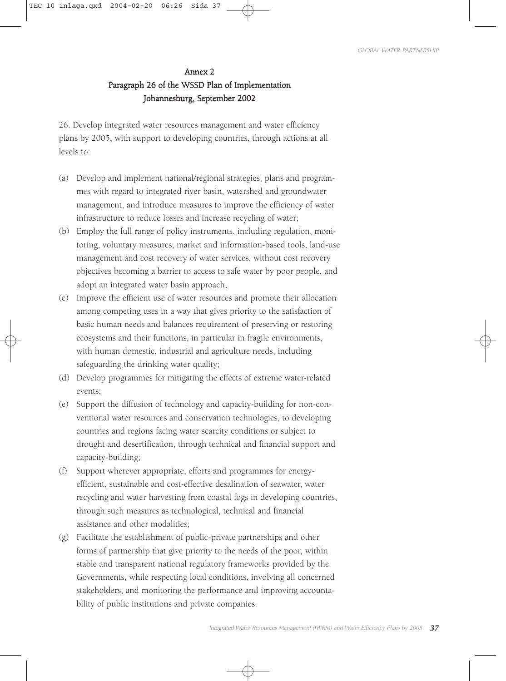# Annex 2 Paragraph 26 of the WSSD Plan of Implementation Johannesburg, September 2002

26. Develop integrated water resources management and water efficiency plans by 2005, with support to developing countries, through actions at all levels to:

- (a) Develop and implement national/regional strategies, plans and programmes with regard to integrated river basin, watershed and groundwater management, and introduce measures to improve the efficiency of water infrastructure to reduce losses and increase recycling of water;
- (b) Employ the full range of policy instruments, including regulation, monitoring, voluntary measures, market and information-based tools, land-use management and cost recovery of water services, without cost recovery objectives becoming a barrier to access to safe water by poor people, and adopt an integrated water basin approach;
- (c) Improve the efficient use of water resources and promote their allocation among competing uses in a way that gives priority to the satisfaction of basic human needs and balances requirement of preserving or restoring ecosystems and their functions, in particular in fragile environments, with human domestic, industrial and agriculture needs, including safeguarding the drinking water quality;
- (d) Develop programmes for mitigating the effects of extreme water-related events;
- (e) Support the diffusion of technology and capacity-building for non-conventional water resources and conservation technologies, to developing countries and regions facing water scarcity conditions or subject to drought and desertification, through technical and financial support and capacity-building;
- (f) Support wherever appropriate, efforts and programmes for energyefficient, sustainable and cost-effective desalination of seawater, water recycling and water harvesting from coastal fogs in developing countries, through such measures as technological, technical and financial assistance and other modalities;
- (g) Facilitate the establishment of public-private partnerships and other forms of partnership that give priority to the needs of the poor, within stable and transparent national regulatory frameworks provided by the Governments, while respecting local conditions, involving all concerned stakeholders, and monitoring the performance and improving accountability of public institutions and private companies.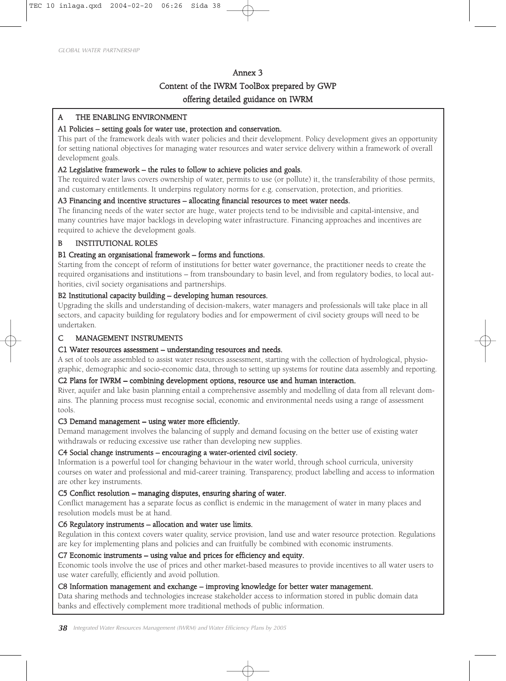# Annex 3

# Content of the IWRM ToolBox prepared by GWP offering detailed guidance on IWRM

# THE ENABLING ENVIRONMENT

### A1 Policies – setting goals for water use, protection and conservation.

This part of the framework deals with water policies and their development. Policy development gives an opportunity for setting national objectives for managing water resources and water service delivery within a framework of overall development goals.

#### A2 Legislative framework – the rules to follow to achieve policies and goals.

The required water laws covers ownership of water, permits to use (or pollute) it, the transferability of those permits, and customary entitlements. It underpins regulatory norms for e.g. conservation, protection, and priorities.

#### A3 Financing and incentive structures – allocating financial resources to meet water needs.

The financing needs of the water sector are huge, water projects tend to be indivisible and capital-intensive, and many countries have major backlogs in developing water infrastructure. Financing approaches and incentives are required to achieve the development goals.

#### B INSTITUTIONAL ROLES

#### B1 Creating an organisational framework – forms and functions.

Starting from the concept of reform of institutions for better water governance, the practitioner needs to create the required organisations and institutions – from transboundary to basin level, and from regulatory bodies, to local authorities, civil society organisations and partnerships.

# B2 Institutional capacity building – developing human resources.

Upgrading the skills and understanding of decision-makers, water managers and professionals will take place in all sectors, and capacity building for regulatory bodies and for empowerment of civil society groups will need to be undertaken.

# MANAGEMENT INSTRUMENTS

#### C1 Water resources assessment – understanding resources and needs.

A set of tools are assembled to assist water resources assessment, starting with the collection of hydrological, physiographic, demographic and socio-economic data, through to setting up systems for routine data assembly and reporting.

# C2 Plans for IWRM – combining development options, resource use and human interaction.

River, aquifer and lake basin planning entail a comprehensive assembly and modelling of data from all relevant domains. The planning process must recognise social, economic and environmental needs using a range of assessment tools.

### C3 Demand management – using water more efficiently.

Demand management involves the balancing of supply and demand focusing on the better use of existing water withdrawals or reducing excessive use rather than developing new supplies.

# C4 Social change instruments – encouraging a water-oriented civil society.

Information is a powerful tool for changing behaviour in the water world, through school curricula, university courses on water and professional and mid-career training. Transparency, product labelling and access to information are other key instruments.

#### C5 Conflict resolution – managing disputes, ensuring sharing of water.

Conflict management has a separate focus as conflict is endemic in the management of water in many places and resolution models must be at hand.

#### C6 Regulatory instruments – allocation and water use limits.

Regulation in this context covers water quality, service provision, land use and water resource protection. Regulations are key for implementing plans and policies and can fruitfully be combined with economic instruments.

#### C7 Economic instruments – using value and prices for efficiency and equity.

Economic tools involve the use of prices and other market-based measures to provide incentives to all water users to use water carefully, efficiently and avoid pollution.

### C8 Information management and exchange – improving knowledge for better water management.

Data sharing methods and technologies increase stakeholder access to information stored in public domain data banks and effectively complement more traditional methods of public information.

**38** Integrated Water Resources Management (IWRM) and Water Efficiency Plans by 2005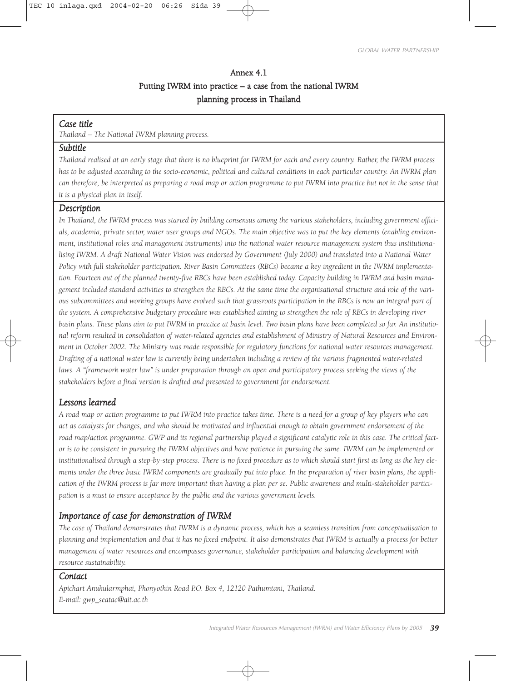# Annex 4.1 Putting IWRM into practice – a case from the national IWRM planning process in Thailand

# *Case title*

*Thailand – The National IWRM planning process.*

# *Subtitle*

*Thailand realised at an early stage that there is no blueprint for IWRM for each and every country. Rather, the IWRM process has to be adjusted according to the socio-economic, political and cultural conditions in each particular country. An IWRM plan can therefore, be interpreted as preparing a road map or action programme to put IWRM into practice but not in the sense that it is a physical plan in itself.*

#### *Description*

*In Thailand, the IWRM process was started by building consensus among the various stakeholders, including government officials, academia, private sector, water user groups and NGOs. The main objective was to put the key elements (enabling environment, institutional roles and management instruments) into the national water resource management system thus institutionalising IWRM. A draft National Water Vision was endorsed by Government (July 2000) and translated into a National Water Policy with full stakeholder participation. River Basin Committees (RBCs) became a key ingredient in the IWRM implementation. Fourteen out of the planned twenty-five RBCs have been established today. Capacity building in IWRM and basin management included standard activities to strengthen the RBCs. At the same time the organisational structure and role of the various subcommittees and working groups have evolved such that grassroots participation in the RBCs is now an integral part of the system. A comprehensive budgetary procedure was established aiming to strengthen the role of RBCs in developing river basin plans. These plans aim to put IWRM in practice at basin level. Two basin plans have been completed so far. An institutional reform resulted in consolidation of water-related agencies and establishment of Ministry of Natural Resources and Environment in October 2002. The Ministry was made responsible for regulatory functions for national water resources management. Drafting of a national water law is currently being undertaken including a review of the various fragmented water-related laws. A "framework water law" is under preparation through an open and participatory process seeking the views of the stakeholders before a final version is drafted and presented to government for endorsement.*

# *Lessons learned*

*A road map or action programme to put IWRM into practice takes time. There is a need for a group of key players who can act as catalysts for changes, and who should be motivated and influential enough to obtain government endorsement of the road map/action programme. GWP and its regional partnership played a significant catalytic role in this case. The critical factor is to be consistent in pursuing the IWRM objectives and have patience in pursuing the same. IWRM can be implemented or institutionalised through a step-by-step process. There is no fixed procedure as to which should start first as long as the key elements under the three basic IWRM components are gradually put into place. In the preparation of river basin plans, the application of the IWRM process is far more important than having a plan per se. Public awareness and multi-stakeholder participation is a must to ensure acceptance by the public and the various government levels.* 

# *Importance of case for demonstration of IWRM*

*The case of Thailand demonstrates that IWRM is a dynamic process, which has a seamless transition from conceptualisation to planning and implementation and that it has no fixed endpoint. It also demonstrates that IWRM is actually a process for better management of water resources and encompasses governance, stakeholder participation and balancing development with resource sustainability.*

#### *Contact*

*Apichart Anukularmphai, Phonyothin Road P.O. Box 4, 12120 Pathumtani, Thailand. E-mail: gwp\_seatac@ait.ac.th*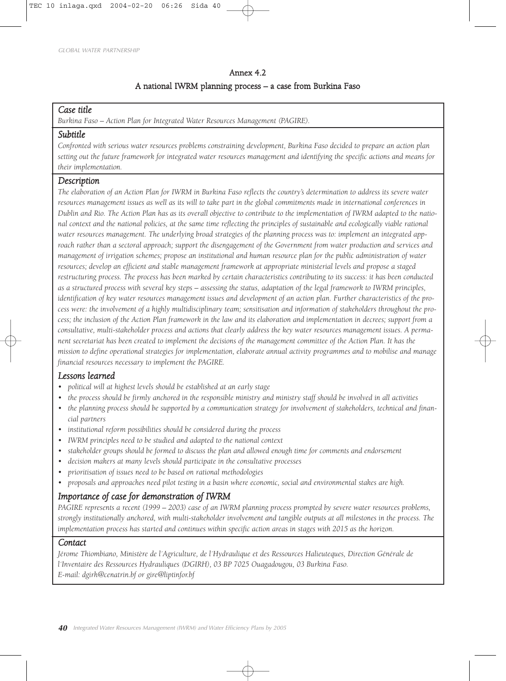# Annex 4.2

# A national IWRM planning process – a case from Burkina Faso

# *Case title*

*Burkina Faso – Action Plan for Integrated Water Resources Management (PAGIRE).*

# *Subtitle*

*Confronted with serious water resources problems constraining development, Burkina Faso decided to prepare an action plan setting out the future framework for integrated water resources management and identifying the specific actions and means for their implementation.*

#### *Description*

*The elaboration of an Action Plan for IWRM in Burkina Faso reflects the country's determination to address its severe water resources management issues as well as its will to take part in the global commitments made in international conferences in Dublin and Rio. The Action Plan has as its overall objective to contribute to the implementation of IWRM adapted to the national context and the national policies, at the same time reflecting the principles of sustainable and ecologically viable rational water resources management. The underlying broad strategies of the planning process was to: implement an integrated approach rather than a sectoral approach; support the disengagement of the Government from water production and services and management of irrigation schemes; propose an institutional and human resource plan for the public administration of water resources; develop an efficient and stable management framework at appropriate ministerial levels and propose a staged restructuring process. The process has been marked by certain characteristics contributing to its success: it has been conducted as a structured process with several key steps – assessing the status, adaptation of the legal framework to IWRM principles, identification of key water resources management issues and development of an action plan. Further characteristics of the process were: the involvement of a highly multidisciplinary team; sensitisation and information of stakeholders throughout the process; the inclusion of the Action Plan framework in the law and its elaboration and implementation in decrees; support from a consultative, multi-stakeholder process and actions that clearly address the key water resources management issues. A permanent secretariat has been created to implement the decisions of the management committee of the Action Plan. It has the mission to define operational strategies for implementation, elaborate annual activity programmes and to mobilise and manage financial resources necessary to implement the PAGIRE.* 

# *Lessons learned*

- *political will at highest levels should be established at an early stage*
- *the process should be firmly anchored in the responsible ministry and ministry staff should be involved in all activities*
- *the planning process should be supported by a communication strategy for involvement of stakeholders, technical and financial partners*
- *institutional reform possibilities should be considered during the process*
- *IWRM principles need to be studied and adapted to the national context*
- *stakeholder groups should be formed to discuss the plan and allowed enough time for comments and endorsement*
- *decision makers at many levels should participate in the consultative processes*
- *prioritisation of issues need to be based on rational methodologies*
- *proposals and approaches need pilot testing in a basin where economic, social and environmental stakes are high.*

#### *Importance of case for demonstration of IWRM*

*PAGIRE represents a recent (1999 – 2003) case of an IWRM planning process prompted by severe water resources problems, strongly institutionally anchored, with multi-stakeholder involvement and tangible outputs at all milestones in the process. The implementation process has started and continues within specific action areas in stages with 2015 as the horizon.*

### *Contact*

*Jérome Thiombiano, Ministère de l´Agriculture, de l´Hydraulique et des Ressources Halieuteques, Direction Générale de l´Inventaire des Ressources Hydrauliques (DGIRH), 03 BP 7025 Ouagadougou, 03 Burkina Faso. E-mail: dgirh@cenatrin.bf or gire@liptinfor.bf*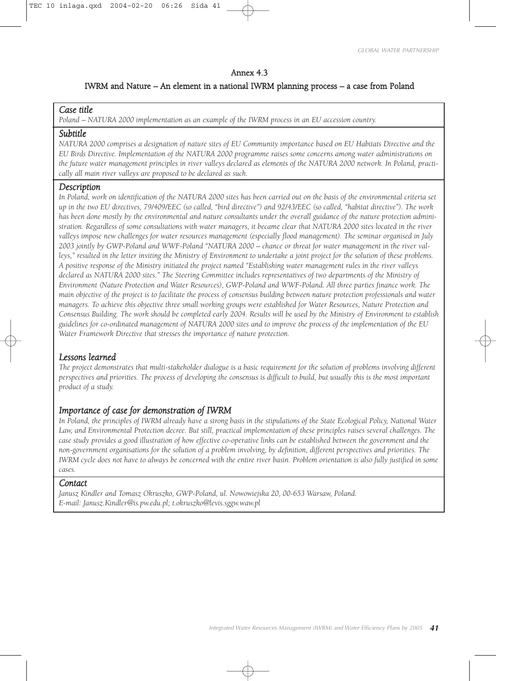#### Annex 4.3

### IWRM and Nature – An element in a national IWRM planning process – a case from Poland

#### *Case title*

*Poland – NATURA 2000 implementation as an example of the IWRM process in an EU accession country.*

# *Subtitle*

*NATURA 2000 comprises a designation of nature sites of EU Community importance based on EU Habitats Directive and the EU Birds Directive. Implementation of the NATURA 2000 programme raises some concerns among water administrations on the future water management principles in river valleys declared as elements of the NATURA 2000 network. In Poland, practically all main river valleys are proposed to be declared as such.*

#### *Description*

*In Poland, work on identification of the NATURA 2000 sites has been carried out on the basis of the environmental criteria set up in the two EU directives, 79/409/EEC (so called, "bird directive") and 92/43/EEC (so called, "habitat directive"). The work has been done mostly by the environmental and nature consultants under the overall guidance of the nature protection administration. Regardless of some consultations with water managers, it became clear that NATURA 2000 sites located in the river valleys impose new challenges for water resources management (especially flood management). The seminar organised in July 2003 jointly by GWP-Poland and WWF-Poland "NATURA 2000 – chance or threat for water management in the river valleys," resulted in the letter inviting the Ministry of Environment to undertake a joint project for the solution of these problems. A positive response of the Ministry initiated the project named "Establishing water management rules in the river valleys*  declared as NATURA 2000 sites." The Steering Committee includes representatives of two departments of the Ministry of *Environment (Nature Protection and Water Resources), GWP-Poland and WWF-Poland. All three parties finance work. The main objective of the project is to facilitate the process of consensus building between nature protection professionals and water managers. To achieve this objective three small working groups were established for Water Resources, Nature Protection and Consensus Building. The work should be completed early 2004. Results will be used by the Ministry of Environment to establish guidelines for co-ordinated management of NATURA 2000 sites and to improve the process of the implementation of the EU Water Framework Directive that stresses the importance of nature protection.*

#### *Lessons learned*

*The project demonstrates that multi-stakeholder dialogue is a basic requirement for the solution of problems involving different perspectives and priorities. The process of developing the consensus is difficult to build, but usually this is the most important product of a study.*

### *Importance of case for demonstration of IWRM*

*In Poland, the principles of IWRM already have a strong basis in the stipulations of the State Ecological Policy, National Water Law, and Environmental Protection decree. But still, practical implementation of these principles raises several challenges. The case study provides a good illustration of how effective co-operative links can be established between the government and the non-government organisations for the solution of a problem involving, by definition, different perspectives and priorities. The IWRM cycle does not have to always be concerned with the entire river basin. Problem orientation is also fully justified in some cases.* 

#### *Contact*

*Janusz Kindler and Tomasz Okruszko, GWP-Poland, ul. Nowowiejska 20, 00-653 Warsaw, Poland. E-mail: Janusz.Kindler@is.pw.edu.pl; t.okruszko@levis.sggw.waw.pl*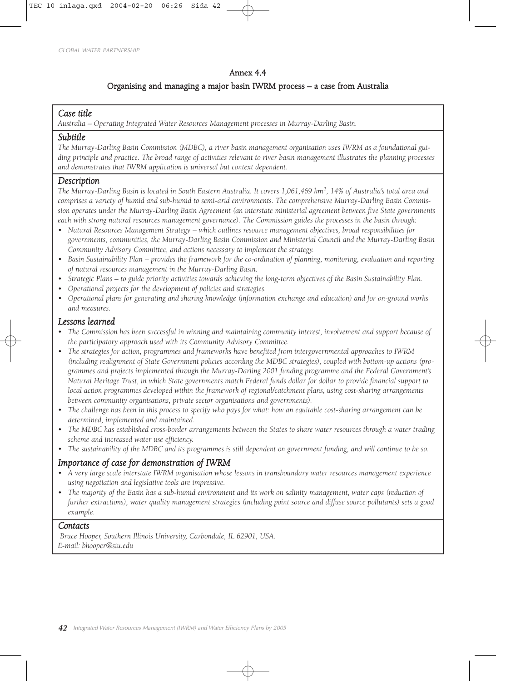## Annex 4.4

## Organising and managing a major basin IWRM process – a case from Australia

### *Case title*

*Australia – Operating Integrated Water Resources Management processes in Murray-Darling Basin.*

# *Subtitle*

*The Murray-Darling Basin Commission (MDBC), a river basin management organisation uses IWRM as a foundational guiding principle and practice. The broad range of activities relevant to river basin management illustrates the planning processes and demonstrates that IWRM application is universal but context dependent.*

#### *Description*

*The Murray-Darling Basin is located in South Eastern Australia. It covers 1,061,469 km2, 14% of Australia's total area and comprises a variety of humid and sub-humid to semi-arid environments. The comprehensive Murray-Darling Basin Commission operates under the Murray-Darling Basin Agreement (an interstate ministerial agreement between five State governments each with strong natural resources management governance). The Commission guides the processes in the basin through:*

- *Natural Resources Management Strategy which outlines resource management objectives, broad responsibilities for governments, communities, the Murray-Darling Basin Commission and Ministerial Council and the Murray-Darling Basin Community Advisory Committee, and actions necessary to implement the strategy.*
- *Basin Sustainability Plan provides the framework for the co-ordination of planning, monitoring, evaluation and reporting of natural resources management in the Murray-Darling Basin.*
- *Strategic Plans to guide priority activities towards achieving the long-term objectives of the Basin Sustainability Plan.*
- *Operational projects for the development of policies and strategies.*
- *Operational plans for generating and sharing knowledge (information exchange and education) and for on-ground works and measures.*

#### *Lessons learned*

- *The Commission has been successful in winning and maintaining community interest, involvement and support because of the participatory approach used with its Community Advisory Committee.*
- *The strategies for action, programmes and frameworks have benefited from intergovernmental approaches to IWRM (including realignment of State Government policies according the MDBC strategies), coupled with bottom-up actions (programmes and projects implemented through the Murray-Darling 2001 funding programme and the Federal Government's Natural Heritage Trust, in which State governments match Federal funds dollar for dollar to provide financial support to local action programmes developed within the framework of regional/catchment plans, using cost-sharing arrangements between community organisations, private sector organisations and governments).*
- *The challenge has been in this process to specify who pays for what: how an equitable cost-sharing arrangement can be determined, implemented and maintained.*
- *The MDBC has established cross-border arrangements between the States to share water resources through a water trading scheme and increased water use efficiency.*
- *The sustainability of the MDBC and its programmes is still dependent on government funding, and will continue to be so.*

#### *Importance of case for demonstration of IWRM*

- *A very large scale interstate IWRM organisation whose lessons in transboundary water resources management experience using negotiation and legislative tools are impressive.*
- *The majority of the Basin has a sub-humid environment and its work on salinity management, water caps (reduction of further extractions), water quality management strategies (including point source and diffuse source pollutants) sets a good example.*

# *Contacts*

*Bruce Hooper, Southern Illinois University, Carbondale, IL 62901, USA. E-mail: bhooper@siu.edu*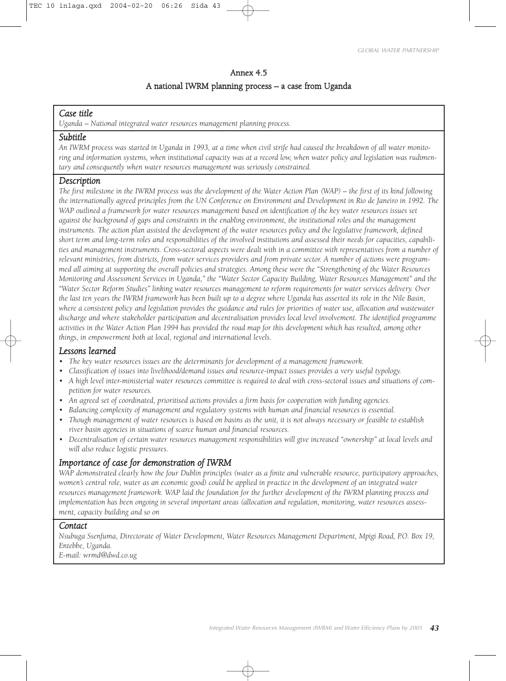#### Annex 4.5

### A national IWRM planning process – a case from Uganda

#### *Case title*

*Uganda – National integrated water resources management planning process.*

# *Subtitle*

*An IWRM process was started in Uganda in 1993, at a time when civil strife had caused the breakdown of all water monitoring and information systems, when institutional capacity was at a record low, when water policy and legislation was rudimentary and consequently when water resources management was seriously constrained.*

#### *Description*

*The first milestone in the IWRM process was the development of the Water Action Plan (WAP) – the first of its kind following the internationally agreed principles from the UN Conference on Environment and Development in Rio de Janeiro in 1992. The WAP outlined a framework for water resources management based on identification of the key water resources issues set against the background of gaps and constraints in the enabling environment, the institutional roles and the management instruments. The action plan assisted the development of the water resources policy and the legislative framework, defined short term and long-term roles and responsibilities of the involved institutions and assessed their needs for capacities, capabilities and management instruments. Cross-sectoral aspects were dealt with in a committee with representatives from a number of relevant ministries, from districts, from water services providers and from private sector. A number of actions were programmed all aiming at supporting the overall policies and strategies. Among these were the "Strengthening of the Water Resources Monitoring and Assessment Services in Uganda," the "Water Sector Capacity Building, Water Resources Management" and the "Water Sector Reform Studies" linking water resources management to reform requirements for water services delivery. Over the last ten years the IWRM framework has been built up to a degree where Uganda has asserted its role in the Nile Basin, where a consistent policy and legislation provides the guidance and rules for priorities of water use, allocation and wastewater discharge and where stakeholder participation and decentralisation provides local level involvement. The identified programme activities in the Water Action Plan 1994 has provided the road map for this development which has resulted, among other things, in empowerment both at local, regional and international levels.*

### *Lessons learned*

- *The key water resources issues are the determinants for development of a management framework.*
- *Classification of issues into livelihood/demand issues and resource-impact issues provides a very useful typology.*
- *A high level inter-ministerial water resources committee is required to deal with cross-sectoral issues and situations of competition for water resources.*
- *An agreed set of coordinated, prioritised actions provides a firm basis for cooperation with funding agencies.*
- *Balancing complexity of management and regulatory systems with human and financial resources is essential.*
- *Though management of water resources is based on basins as the unit, it is not always necessary or feasible to establish river basin agencies in situations of scarce human and financial resources.*
- *Decentralisation of certain water resources management responsibilities will give increased "ownership" at local levels and will also reduce logistic pressures.*

#### *Importance of case for demonstration of IWRM*

*WAP demonstrated clearly how the four Dublin principles (water as a finite and vulnerable resource, participatory approaches, women's central role, water as an economic good) could be applied in practice in the development of an integrated water resources management framework. WAP laid the foundation for the further development of the IWRM planning process and implementation has been ongoing in several important areas (allocation and regulation, monitoring, water resources assessment, capacity building and so on*

### *Contact*

*Nsubuga Ssenfuma, Directorate of Water Development, Water Resources Management Department, Mpigi Road, P.O. Box 19, Entebbe, Uganda.*

*E-mail: wrmd@dwd.co.ug*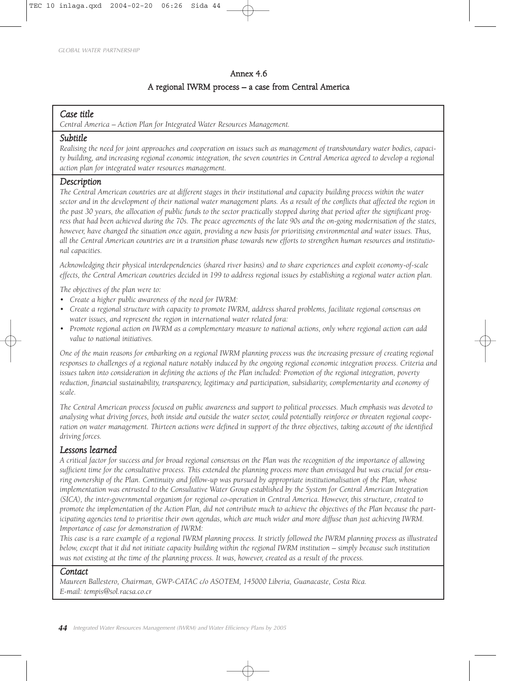## Annex 4.6

### A regional IWRM process – a case from Central America

#### *Case title*

*Central America – Action Plan for Integrated Water Resources Management.*

# *Subtitle*

*Realising the need for joint approaches and cooperation on issues such as management of transboundary water bodies, capacity building, and increasing regional economic integration, the seven countries in Central America agreed to develop a regional action plan for integrated water resources management.*

#### *Description*

*The Central American countries are at different stages in their institutional and capacity building process within the water sector and in the development of their national water management plans. As a result of the conflicts that affected the region in the past 30 years, the allocation of public funds to the sector practically stopped during that period after the significant progress that had been achieved during the 70s. The peace agreements of the late 90s and the on-going modernisation of the states, however, have changed the situation once again, providing a new basis for prioritising environmental and water issues. Thus, all the Central American countries are in a transition phase towards new efforts to strengthen human resources and institutional capacities.*

*Acknowledging their physical interdependencies (shared river basins) and to share experiences and exploit economy-of-scale effects, the Central American countries decided in 199 to address regional issues by establishing a regional water action plan.*

*The objectives of the plan were to:*

- *Create a higher public awareness of the need for IWRM:*
- *Create a regional structure with capacity to promote IWRM, address shared problems, facilitate regional consensus on water issues, and represent the region in international water related fora:*
- *Promote regional action on IWRM as a complementary measure to national actions, only where regional action can add value to national initiatives.*

*One of the main reasons for embarking on a regional IWRM planning process was the increasing pressure of creating regional responses to challenges of a regional nature notably induced by the ongoing regional economic integration process. Criteria and issues taken into consideration in defining the actions of the Plan included: Promotion of the regional integration, poverty reduction, financial sustainability, transparency, legitimacy and participation, subsidiarity, complementarity and economy of scale.* 

*The Central American process focused on public awareness and support to political processes. Much emphasis was devoted to analysing what driving forces, both inside and outside the water sector, could potentially reinforce or threaten regional cooperation on water management. Thirteen actions were defined in support of the three objectives, taking account of the identified driving forces.*

#### *Lessons learned*

*A critical factor for success and for broad regional consensus on the Plan was the recognition of the importance of allowing sufficient time for the consultative process. This extended the planning process more than envisaged but was crucial for ensuring ownership of the Plan. Continuity and follow-up was pursued by appropriate institutionalisation of the Plan, whose implementation was entrusted to the Consultative Water Group established by the System for Central American Integration (SICA), the inter-governmental organism for regional co-operation in Central America. However, this structure, created to promote the implementation of the Action Plan, did not contribute much to achieve the objectives of the Plan because the participating agencies tend to prioritise their own agendas, which are much wider and more diffuse than just achieving IWRM. Importance of case for demonstration of IWRM:* 

*This case is a rare example of a regional IWRM planning process. It strictly followed the IWRM planning process as illustrated below, except that it did not initiate capacity building within the regional IWRM institution – simply because such institution was not existing at the time of the planning process. It was, however, created as a result of the process.*

### *Contact*

*Maureen Ballestero, Chairman, GWP-CATAC c/o ASOTEM, 145000 Liberia, Guanacaste, Costa Rica. E-mail: tempis@sol.racsa.co.cr*